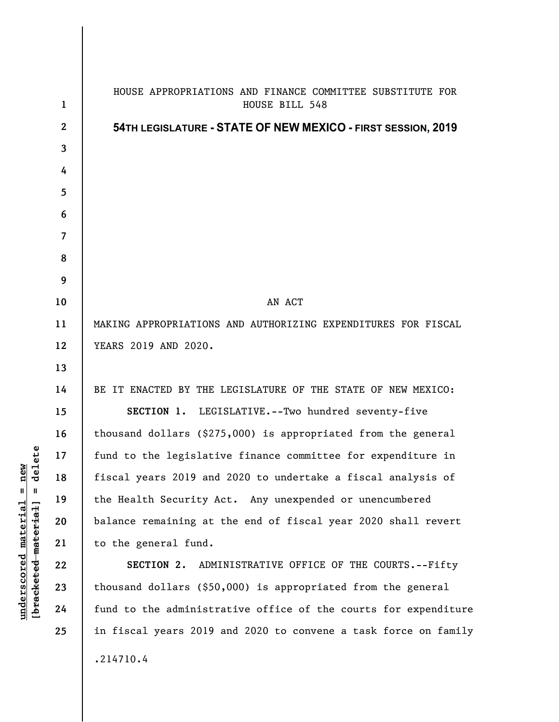| 1            | HOUSE APPROPRIATIONS AND FINANCE COMMITTEE SUBSTITUTE FOR<br>HOUSE BILL 548 |
|--------------|-----------------------------------------------------------------------------|
| $\mathbf{2}$ | 54TH LEGISLATURE - STATE OF NEW MEXICO - FIRST SESSION, 2019                |
| 3            |                                                                             |
| 4            |                                                                             |
| 5            |                                                                             |
| 6            |                                                                             |
| 7            |                                                                             |
| 8            |                                                                             |
| 9            |                                                                             |
| 10           | AN ACT                                                                      |
| 11           | MAKING APPROPRIATIONS AND AUTHORIZING EXPENDITURES FOR FISCAL               |
| 12           | YEARS 2019 AND 2020.                                                        |
| 13           |                                                                             |
| 14           | BE IT ENACTED BY THE LEGISLATURE OF THE STATE OF NEW MEXICO:                |
| 15           | SECTION 1. LEGISLATIVE.--Two hundred seventy-five                           |
| 16           | thousand dollars (\$275,000) is appropriated from the general               |
| 17           | fund to the legislative finance committee for expenditure in                |
| 18           | fiscal years 2019 and 2020 to undertake a fiscal analysis of                |
| 19           | the Health Security Act. Any unexpended or unencumbered                     |
| 20           | balance remaining at the end of fiscal year 2020 shall revert               |
| 21           | to the general fund.                                                        |
| 22           | SECTION 2. ADMINISTRATIVE OFFICE OF THE COURTS.--Fifty                      |
| 23           | thousand dollars (\$50,000) is appropriated from the general                |
| 24           | fund to the administrative office of the courts for expenditure             |
| 25           | in fiscal years 2019 and 2020 to convene a task force on family             |
|              | .214710.4                                                                   |
|              |                                                                             |

 $[bracketeed-materiat] = delete$ **[bracketed material] = delete**  $underscored material = new$ **underscored material = new**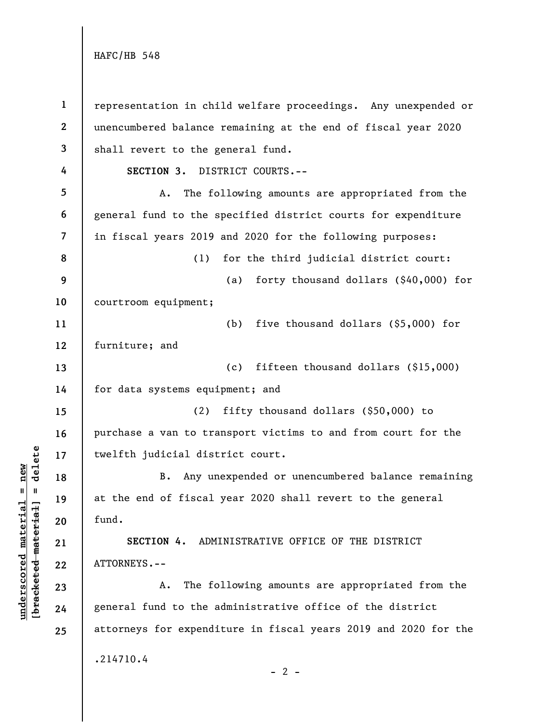**underscored material = new [bracketed material] = delete**

 $\frac{1}{2}$  bracketed material] = delete  $underscored material = new$ 

**1 2 3 4 5 6 7 8 9 10 11 12 13 14 15 16 17 18 19 20 21 22 23 24 25**  representation in child welfare proceedings. Any unexpended or unencumbered balance remaining at the end of fiscal year 2020 shall revert to the general fund. **SECTION 3.** DISTRICT COURTS.-- A. The following amounts are appropriated from the general fund to the specified district courts for expenditure in fiscal years 2019 and 2020 for the following purposes: (1) for the third judicial district court: (a) forty thousand dollars (\$40,000) for courtroom equipment; (b) five thousand dollars (\$5,000) for furniture; and (c) fifteen thousand dollars (\$15,000) for data systems equipment; and (2) fifty thousand dollars (\$50,000) to purchase a van to transport victims to and from court for the twelfth judicial district court. B. Any unexpended or unencumbered balance remaining at the end of fiscal year 2020 shall revert to the general fund. **SECTION 4.** ADMINISTRATIVE OFFICE OF THE DISTRICT ATTORNEYS.-- A. The following amounts are appropriated from the general fund to the administrative office of the district attorneys for expenditure in fiscal years 2019 and 2020 for the .214710.4  $- 2 -$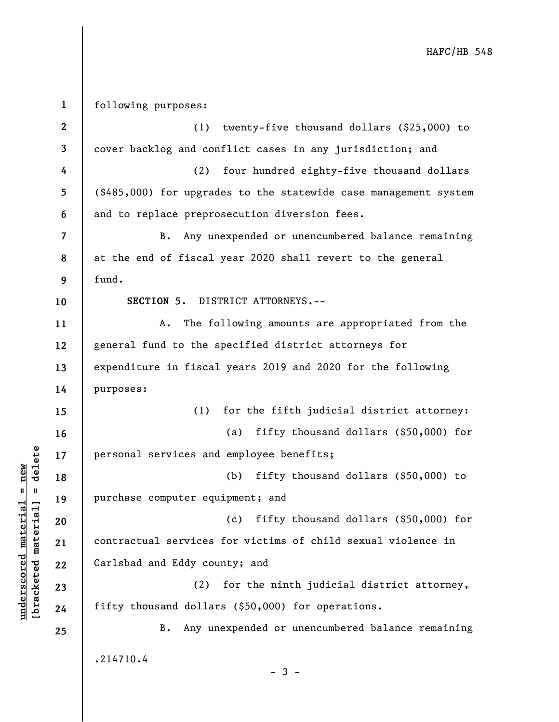**1 2 3 4 5 6 7 8 9 10 11 12 13 14 15 16 17 18 19 20 21 22 23 24 25**  following purposes: (1) twenty-five thousand dollars (\$25,000) to cover backlog and conflict cases in any jurisdiction; and (2) four hundred eighty-five thousand dollars (\$485,000) for upgrades to the statewide case management system and to replace preprosecution diversion fees. B. Any unexpended or unencumbered balance remaining at the end of fiscal year 2020 shall revert to the general fund. **SECTION 5.** DISTRICT ATTORNEYS.-- A. The following amounts are appropriated from the general fund to the specified district attorneys for expenditure in fiscal years 2019 and 2020 for the following purposes: (1) for the fifth judicial district attorney: (a) fifty thousand dollars (\$50,000) for personal services and employee benefits; (b) fifty thousand dollars (\$50,000) to purchase computer equipment; and (c) fifty thousand dollars (\$50,000) for contractual services for victims of child sexual violence in Carlsbad and Eddy county; and (2) for the ninth judicial district attorney, fifty thousand dollars (\$50,000) for operations. B. Any unexpended or unencumbered balance remaining .214710.4  $-3 -$ 

**underscored material = new [bracketed material] = delete**

 $b$ racketed material] = delete  $underscored material = new$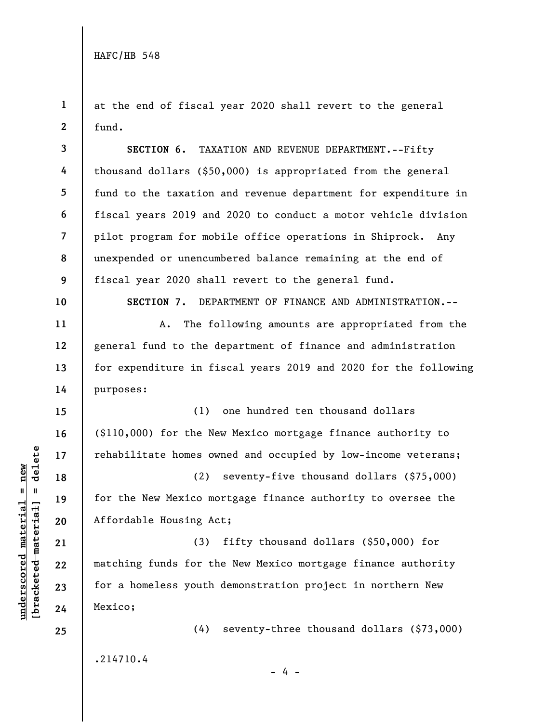**1 2**  at the end of fiscal year 2020 shall revert to the general fund.

**SECTION 6.** TAXATION AND REVENUE DEPARTMENT.--Fifty thousand dollars (\$50,000) is appropriated from the general fund to the taxation and revenue department for expenditure in fiscal years 2019 and 2020 to conduct a motor vehicle division pilot program for mobile office operations in Shiprock. Any unexpended or unencumbered balance remaining at the end of fiscal year 2020 shall revert to the general fund.

**10** 

**11** 

**12** 

**13** 

**14** 

**18** 

**19** 

**20** 

**21** 

**22** 

**23** 

**24** 

**25** 

**3** 

**4** 

**5** 

**6** 

**7** 

**8** 

**9** 

**SECTION 7.** DEPARTMENT OF FINANCE AND ADMINISTRATION.--

A. The following amounts are appropriated from the general fund to the department of finance and administration for expenditure in fiscal years 2019 and 2020 for the following purposes:

**15 16 17**  (1) one hundred ten thousand dollars (\$110,000) for the New Mexico mortgage finance authority to rehabilitate homes owned and occupied by low-income veterans;

(2) seventy-five thousand dollars (\$75,000) for the New Mexico mortgage finance authority to oversee the Affordable Housing Act;

(3) fifty thousand dollars (\$50,000) for matching funds for the New Mexico mortgage finance authority for a homeless youth demonstration project in northern New Mexico;

.214710.4

- 4 -

(4) seventy-three thousand dollars (\$73,000)

 $\frac{1}{2}$  intereted material = delete **[bracketed material] = delete**  $underscored material = new$ **underscored material = new**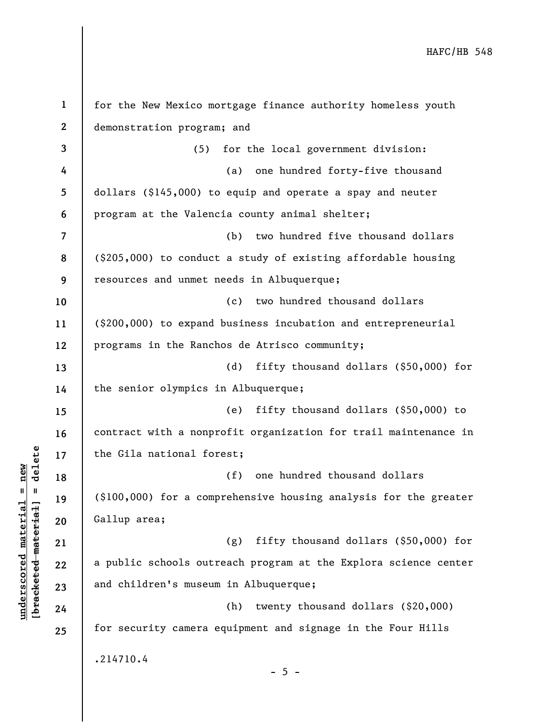**1 2 3 4 5 6 7 8 9 10 11 12 13 14 15 16 17 18 19 20 21 22 23 24 25**  for the New Mexico mortgage finance authority homeless youth demonstration program; and (5) for the local government division: (a) one hundred forty-five thousand dollars (\$145,000) to equip and operate a spay and neuter program at the Valencia county animal shelter; (b) two hundred five thousand dollars (\$205,000) to conduct a study of existing affordable housing resources and unmet needs in Albuquerque; (c) two hundred thousand dollars (\$200,000) to expand business incubation and entrepreneurial programs in the Ranchos de Atrisco community; (d) fifty thousand dollars (\$50,000) for the senior olympics in Albuquerque; (e) fifty thousand dollars (\$50,000) to contract with a nonprofit organization for trail maintenance in the Gila national forest; (f) one hundred thousand dollars (\$100,000) for a comprehensive housing analysis for the greater Gallup area; (g) fifty thousand dollars (\$50,000) for a public schools outreach program at the Explora science center and children's museum in Albuquerque; (h) twenty thousand dollars (\$20,000) for security camera equipment and signage in the Four Hills .214710.4  $- 5 -$ 

**underscored material = new [bracketed material] = delete**

 $\frac{1}{2}$  intereted material = delete  $underscored material = new$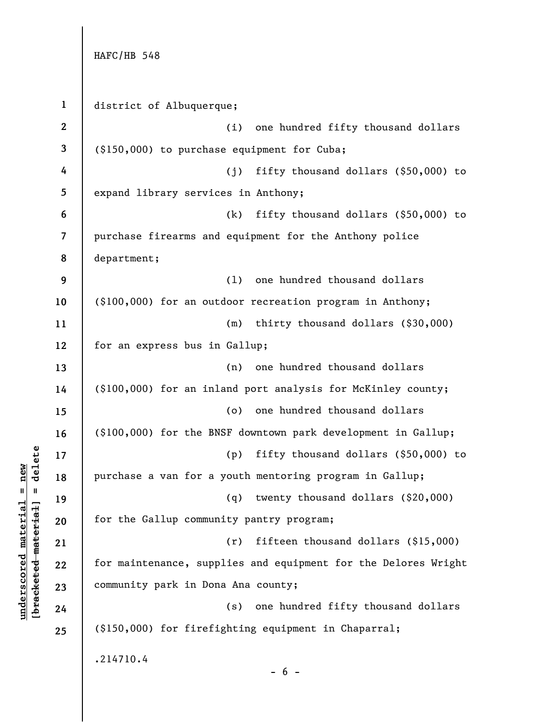**1 2 3 4 5 6 7 8 9 10 11 12 13 14 15 16 17 18 19 20 21 22 23 24 25**  HAFC/HB 548 district of Albuquerque; (i) one hundred fifty thousand dollars (\$150,000) to purchase equipment for Cuba; (j) fifty thousand dollars (\$50,000) to expand library services in Anthony; (k) fifty thousand dollars (\$50,000) to purchase firearms and equipment for the Anthony police department; (l) one hundred thousand dollars (\$100,000) for an outdoor recreation program in Anthony; (m) thirty thousand dollars (\$30,000) for an express bus in Gallup; (n) one hundred thousand dollars (\$100,000) for an inland port analysis for McKinley county; (o) one hundred thousand dollars (\$100,000) for the BNSF downtown park development in Gallup; (p) fifty thousand dollars (\$50,000) to purchase a van for a youth mentoring program in Gallup; (q) twenty thousand dollars (\$20,000) for the Gallup community pantry program; (r) fifteen thousand dollars (\$15,000) for maintenance, supplies and equipment for the Delores Wright community park in Dona Ana county; (s) one hundred fifty thousand dollars (\$150,000) for firefighting equipment in Chaparral; .214710.4  $- 6 -$ 

 $b$ racketed material] = delete **[bracketed material] = delete**  $underscored material = new$ **underscored material = new**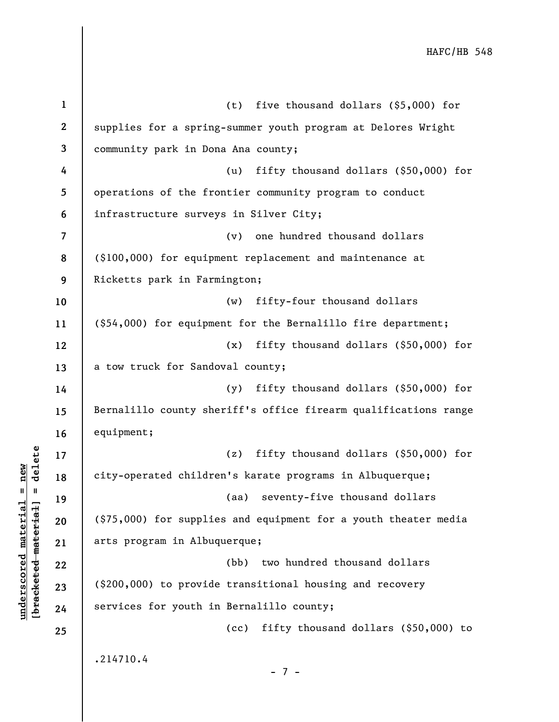| $\mathbf{1}$             | (t) five thousand dollars $(\$5,000)$ for                       |
|--------------------------|-----------------------------------------------------------------|
| $\boldsymbol{2}$         | supplies for a spring-summer youth program at Delores Wright    |
| 3                        | community park in Dona Ana county;                              |
| 4                        | fifty thousand dollars $(\$50,000)$ for<br>(u)                  |
| 5                        | operations of the frontier community program to conduct         |
| 6                        | infrastructure surveys in Silver City;                          |
| $\overline{\mathcal{L}}$ | (v) one hundred thousand dollars                                |
| 8                        | (\$100,000) for equipment replacement and maintenance at        |
| 9                        | Ricketts park in Farmington;                                    |
| 10                       | fifty-four thousand dollars<br>(w)                              |
| 11                       | (\$54,000) for equipment for the Bernalillo fire department;    |
| 12                       | fifty thousand dollars (\$50,000) for<br>(x)                    |
| 13                       | a tow truck for Sandoval county;                                |
| 14                       | fifty thousand dollars (\$50,000) for<br>(y)                    |
| 15                       | Bernalillo county sheriff's office firearm qualifications range |
| 16                       | equipment;                                                      |
| 17                       | fifty thousand dollars (\$50,000) for<br>(z)                    |
| 18                       | city-operated children's karate programs in Albuquerque;        |
| 19                       | seventy-five thousand dollars<br>(aa)                           |
| 20                       | (\$75,000) for supplies and equipment for a youth theater media |
| 21                       | arts program in Albuquerque;                                    |
| 22                       | two hundred thousand dollars<br>(bb)                            |
| 23                       | (\$200,000) to provide transitional housing and recovery        |
| 24                       | services for youth in Bernalillo county;                        |
| 25                       | fifty thousand dollars (\$50,000) to<br>(cc)                    |
|                          | .214710.4                                                       |
|                          | $-7 -$                                                          |

 $\frac{\text{underscored material} = \text{new}}{(\text{bracketed-materiat})}$ **[bracketed material] = delete underscored material = new**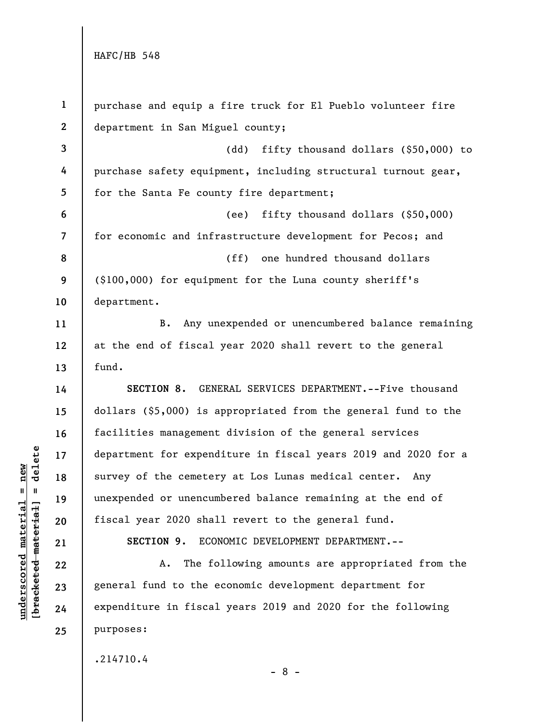| $\mathbf{1}$   | purchase and equip a fire truck for El Pueblo volunteer fire   |
|----------------|----------------------------------------------------------------|
| $\mathbf{2}$   | department in San Miguel county;                               |
| $\mathbf{3}$   | (dd)<br>fifty thousand dollars (\$50,000) to                   |
| 4              | purchase safety equipment, including structural turnout gear,  |
| 5              | for the Santa Fe county fire department;                       |
| 6              | fifty thousand dollars $(§50,000)$<br>(ee)                     |
| $\overline{7}$ | for economic and infrastructure development for Pecos; and     |
| 8              | one hundred thousand dollars<br>(ff)                           |
| 9              | (\$100,000) for equipment for the Luna county sheriff's        |
| 10             | department.                                                    |
| 11             | Any unexpended or unencumbered balance remaining<br><b>B.</b>  |
| 12             | at the end of fiscal year 2020 shall revert to the general     |
| 13             | fund.                                                          |
| 14             | SECTION 8. GENERAL SERVICES DEPARTMENT. -- Five thousand       |
| 15             | dollars (\$5,000) is appropriated from the general fund to the |
| 16             | facilities management division of the general services         |
| 17             | department for expenditure in fiscal years 2019 and 2020 for a |
| 18             |                                                                |
|                | survey of the cemetery at Los Lunas medical center. Any        |
| 19             | unexpended or unencumbered balance remaining at the end of     |
| 20             | fiscal year 2020 shall revert to the general fund.             |
| 21             | SECTION 9.<br>ECONOMIC DEVELOPMENT DEPARTMENT.--               |
| 22             | The following amounts are appropriated from the<br>A.          |
| 23             | general fund to the economic development department for        |
| 24             | expenditure in fiscal years 2019 and 2020 for the following    |
| 25             | purposes:                                                      |

.214710.4

**underscored material = new [bracketed material] = delete**

 $[**bracket**et~~ed matched~~ + **met**et<sup>1</sup> + **del**et~~e~~$  $underscored material = new$ 

- 8 -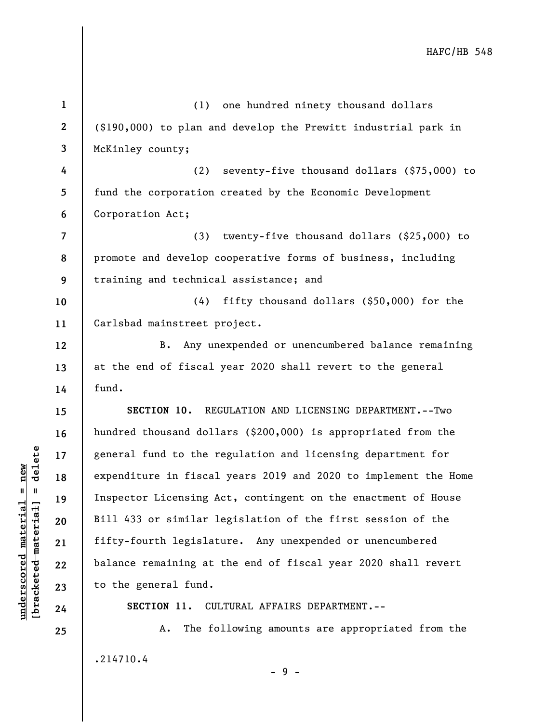| $\mathbf{1}$             | (1) one hundred ninety thousand dollars                         |
|--------------------------|-----------------------------------------------------------------|
| $\mathbf{2}$             | (\$190,000) to plan and develop the Prewitt industrial park in  |
| $\mathbf{3}$             | McKinley county;                                                |
| 4                        | seventy-five thousand dollars (\$75,000) to<br>(2)              |
| 5                        | fund the corporation created by the Economic Development        |
| 6                        | Corporation Act;                                                |
| $\overline{\phantom{a}}$ | (3)<br>twenty-five thousand dollars (\$25,000) to               |
| 8                        | promote and develop cooperative forms of business, including    |
| 9                        | training and technical assistance; and                          |
| 10                       | fifty thousand dollars (\$50,000) for the<br>(4)                |
| 11                       | Carlsbad mainstreet project.                                    |
| 12                       | B. Any unexpended or unencumbered balance remaining             |
| 13                       | at the end of fiscal year 2020 shall revert to the general      |
| 14                       | fund.                                                           |
| 15                       | SECTION 10. REGULATION AND LICENSING DEPARTMENT. -- Two         |
| 16                       | hundred thousand dollars (\$200,000) is appropriated from the   |
| 17                       | general fund to the regulation and licensing department for     |
| 18                       | expenditure in fiscal years 2019 and 2020 to implement the Home |
| 19                       | Inspector Licensing Act, contingent on the enactment of House   |
| 20                       | Bill 433 or similar legislation of the first session of the     |
| 21                       | fifty-fourth legislature. Any unexpended or unencumbered        |
| 22                       | balance remaining at the end of fiscal year 2020 shall revert   |
| 23                       | to the general fund.                                            |
| 24                       | SECTION 11.<br>CULTURAL AFFAIRS DEPARTMENT.--                   |
| 25                       | The following amounts are appropriated from the<br>Α.           |
|                          | .214710.4<br>-9-                                                |
|                          |                                                                 |

 $[**bracket**et~~ed matched~~ + **net** + **1** + **1**$  = delete **[bracketed material] = delete**  $underscored material = new$ **underscored material = new**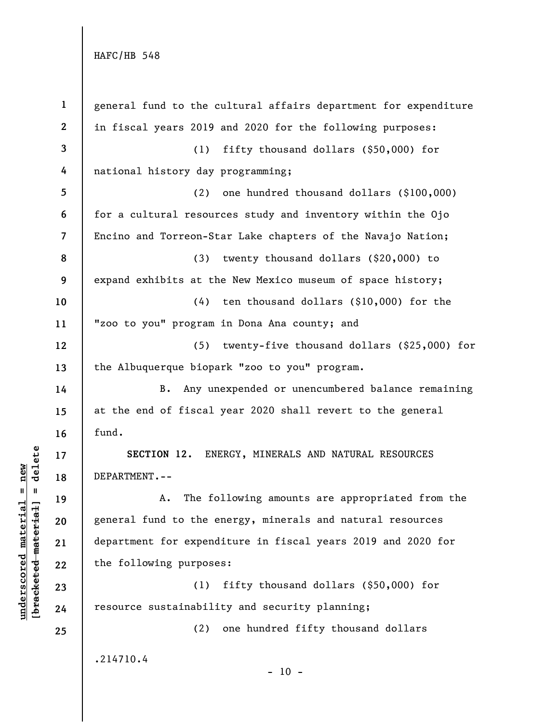| $\mathbf{1}$            | general fund to the cultural affairs department for expenditure |
|-------------------------|-----------------------------------------------------------------|
| $\mathbf{2}$            | in fiscal years 2019 and 2020 for the following purposes:       |
| 3                       | (1)<br>fifty thousand dollars $(\$50,000)$ for                  |
| 4                       | national history day programming;                               |
| 5                       | one hundred thousand dollars (\$100,000)<br>(2)                 |
| 6                       | for a cultural resources study and inventory within the Ojo     |
| $\overline{\mathbf{7}}$ | Encino and Torreon-Star Lake chapters of the Navajo Nation;     |
| 8                       | (3)<br>twenty thousand dollars (\$20,000) to                    |
| 9                       | expand exhibits at the New Mexico museum of space history;      |
| 10                      | $(4)$ ten thousand dollars $(\$10,000)$ for the                 |
| 11                      | "zoo to you" program in Dona Ana county; and                    |
| 12                      | twenty-five thousand dollars (\$25,000) for<br>(5)              |
| 13                      | the Albuquerque biopark "zoo to you" program.                   |
| 14                      | Any unexpended or unencumbered balance remaining<br><b>B.</b>   |
| 15                      | at the end of fiscal year 2020 shall revert to the general      |
| 16                      | fund.                                                           |
| 17                      | SECTION 12. ENERGY, MINERALS AND NATURAL RESOURCES              |
| 18                      | DEPARTMENT.--                                                   |
| 19                      | The following amounts are appropriated from the<br>Α.           |
| 20                      | general fund to the energy, minerals and natural resources      |
| 21                      | department for expenditure in fiscal years 2019 and 2020 for    |
| 22                      | the following purposes:                                         |
| 23                      | fifty thousand dollars (\$50,000) for<br>(1)                    |
| 24                      | resource sustainability and security planning;                  |
| 25                      | one hundred fifty thousand dollars<br>(2)                       |
|                         | .214710.4<br>$-10 -$                                            |

 $\frac{\text{underscored material} = \text{new}}{(\text{bracketed-materiat})}$ **[bracketed material] = delete underscored material = new**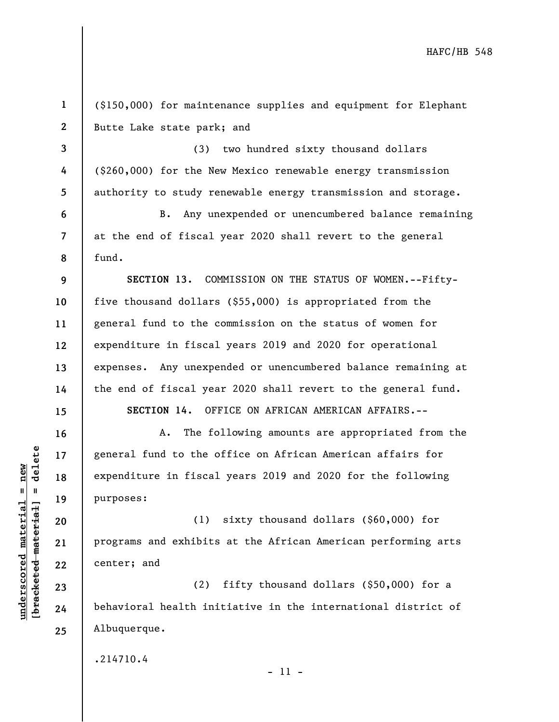(\$150,000) for maintenance supplies and equipment for Elephant Butte Lake state park; and

(3) two hundred sixty thousand dollars (\$260,000) for the New Mexico renewable energy transmission authority to study renewable energy transmission and storage.

B. Any unexpended or unencumbered balance remaining at the end of fiscal year 2020 shall revert to the general fund.

**SECTION 13.** COMMISSION ON THE STATUS OF WOMEN.--Fiftyfive thousand dollars (\$55,000) is appropriated from the general fund to the commission on the status of women for expenditure in fiscal years 2019 and 2020 for operational expenses. Any unexpended or unencumbered balance remaining at the end of fiscal year 2020 shall revert to the general fund.

**SECTION 14.** OFFICE ON AFRICAN AMERICAN AFFAIRS.--

A. The following amounts are appropriated from the general fund to the office on African American affairs for expenditure in fiscal years 2019 and 2020 for the following purposes:

(1) sixty thousand dollars (\$60,000) for programs and exhibits at the African American performing arts center; and

(2) fifty thousand dollars (\$50,000) for a behavioral health initiative in the international district of Albuquerque.

.214710.4

- 11 -

 $b$ racketed material] = delete **[bracketed material] = delete**  $underscored material = new$ **underscored material = new**

**1** 

**2** 

**3** 

**4** 

**5** 

**6** 

**7** 

**8** 

**9** 

**10** 

**11** 

**12** 

**13** 

**14** 

**15** 

**16** 

**17** 

**18** 

**19** 

**20** 

**21** 

**22** 

**23** 

**24** 

**25**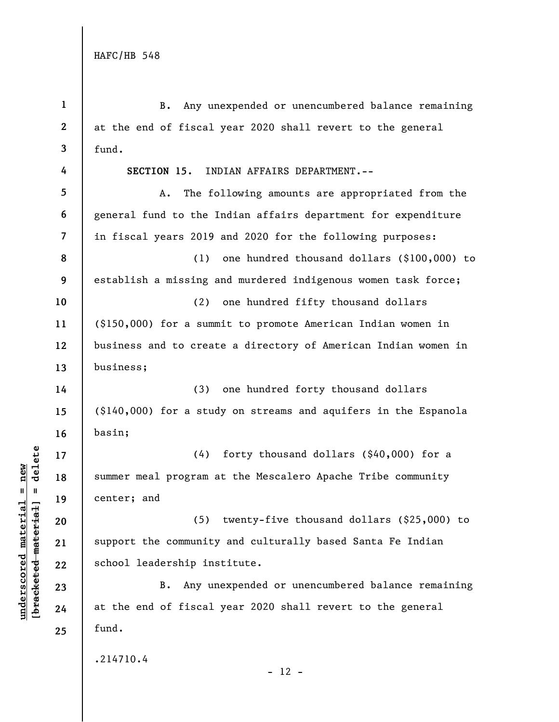**1 2 3 4 5 6 7 8 9 10 11 12 13 14 15 16 17 18 19 20 21 22 23 24 25**  B. Any unexpended or unencumbered balance remaining at the end of fiscal year 2020 shall revert to the general fund. **SECTION 15.** INDIAN AFFAIRS DEPARTMENT.-- A. The following amounts are appropriated from the general fund to the Indian affairs department for expenditure in fiscal years 2019 and 2020 for the following purposes: (1) one hundred thousand dollars (\$100,000) to establish a missing and murdered indigenous women task force; (2) one hundred fifty thousand dollars (\$150,000) for a summit to promote American Indian women in business and to create a directory of American Indian women in business; (3) one hundred forty thousand dollars (\$140,000) for a study on streams and aquifers in the Espanola basin; (4) forty thousand dollars (\$40,000) for a summer meal program at the Mescalero Apache Tribe community center; and (5) twenty-five thousand dollars (\$25,000) to support the community and culturally based Santa Fe Indian school leadership institute. B. Any unexpended or unencumbered balance remaining at the end of fiscal year 2020 shall revert to the general fund. .214710.4  $- 12 -$ 

 $b$ racketed material] = delete **[bracketed material] = delete**  $underscored$  material = new **underscored material = new**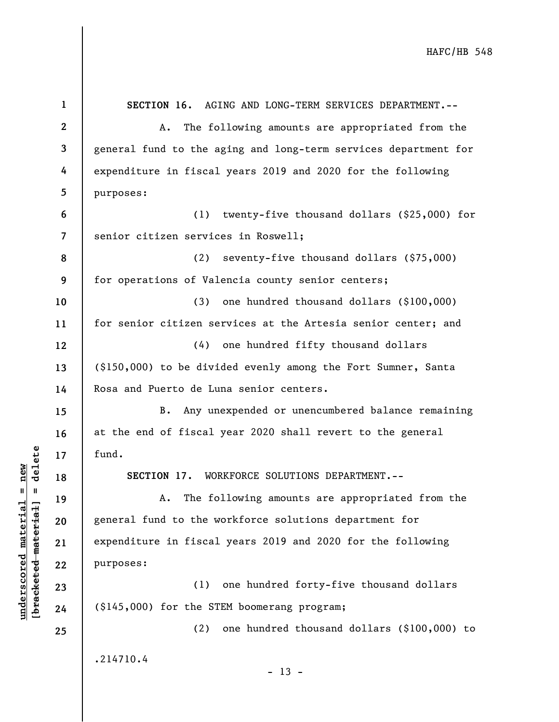| $\mathbf{1}$            | SECTION 16. AGING AND LONG-TERM SERVICES DEPARTMENT.--          |
|-------------------------|-----------------------------------------------------------------|
| $\mathbf{2}$            | The following amounts are appropriated from the<br>Α.           |
| $\mathbf{3}$            | general fund to the aging and long-term services department for |
| 4                       | expenditure in fiscal years 2019 and 2020 for the following     |
| 5                       | purposes:                                                       |
| 6                       | (1) twenty-five thousand dollars $(\$25,000)$ for               |
| $\overline{\mathbf{7}}$ | senior citizen services in Roswell;                             |
| 8                       | (2) seventy-five thousand dollars (\$75,000)                    |
| 9                       | for operations of Valencia county senior centers;               |
| 10                      | (3)<br>one hundred thousand dollars (\$100,000)                 |
| 11                      | for senior citizen services at the Artesia senior center; and   |
| 12                      | (4) one hundred fifty thousand dollars                          |
| 13                      | (\$150,000) to be divided evenly among the Fort Sumner, Santa   |
| 14                      | Rosa and Puerto de Luna senior centers.                         |
| 15                      | Any unexpended or unencumbered balance remaining<br><b>B.</b>   |
| 16                      | at the end of fiscal year 2020 shall revert to the general      |
| 17                      | fund.                                                           |
| 18                      | SECTION 17. WORKFORCE SOLUTIONS DEPARTMENT.--                   |
| 19                      | The following amounts are appropriated from the<br>Α.           |
| 20                      | general fund to the workforce solutions department for          |
| 21                      | expenditure in fiscal years 2019 and 2020 for the following     |
| 22                      | purposes:                                                       |
| 23                      | (1)<br>one hundred forty-five thousand dollars                  |
| 24                      | (\$145,000) for the STEM boomerang program;                     |
| 25                      | one hundred thousand dollars (\$100,000) to<br>(2)              |
|                         | .214710.4<br>$-13 -$                                            |

**underscored material = new [bracketed material] = delete**

 $\frac{\text{underscored material} = \text{new}}{(\text{bracketed-materiat})}$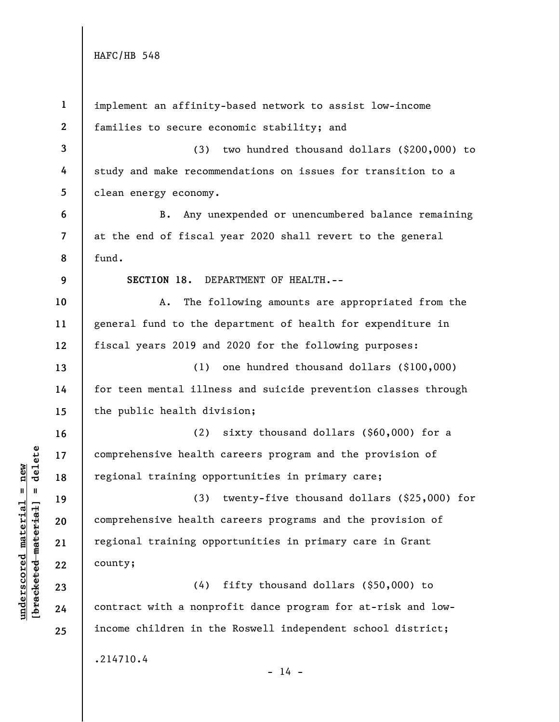**underscored material = new [bracketed material] = delete**

 $\frac{\text{underscored material} = \text{new}}{(\text{bracketed-materiat})}$ 

| $\mathbf{1}$             |                                                                |
|--------------------------|----------------------------------------------------------------|
|                          | implement an affinity-based network to assist low-income       |
| $\mathbf{2}$             | families to secure economic stability; and                     |
| $\mathbf{3}$             | $(3)$ two hundred thousand dollars $(\$200,000)$ to            |
| 4                        | study and make recommendations on issues for transition to a   |
| 5                        | clean energy economy.                                          |
| 6                        | Any unexpended or unencumbered balance remaining<br><b>B</b> . |
| $\overline{\phantom{a}}$ | at the end of fiscal year 2020 shall revert to the general     |
| 8                        | fund.                                                          |
| 9                        | SECTION 18. DEPARTMENT OF HEALTH.--                            |
| 10                       | The following amounts are appropriated from the<br>Α.          |
| 11                       | general fund to the department of health for expenditure in    |
| 12                       | fiscal years 2019 and 2020 for the following purposes:         |
| 13                       | one hundred thousand dollars (\$100,000)<br>(1)                |
| 14                       | for teen mental illness and suicide prevention classes through |
| 15                       | the public health division;                                    |
| 16                       | sixty thousand dollars (\$60,000) for a<br>(2)                 |
| 17                       | comprehensive health careers program and the provision of      |
| 18                       | regional training opportunities in primary care;               |
| 19                       | (3) twenty-five thousand dollars (\$25,000) for                |
| 20                       | comprehensive health careers programs and the provision of     |
| 21                       | regional training opportunities in primary care in Grant       |
| 22                       | county;                                                        |
| 23                       | fifty thousand dollars (\$50,000) to<br>(4)                    |
| 24                       | contract with a nonprofit dance program for at-risk and low-   |
| 25                       | income children in the Roswell independent school district;    |
|                          | .214710.4<br>$-14 -$                                           |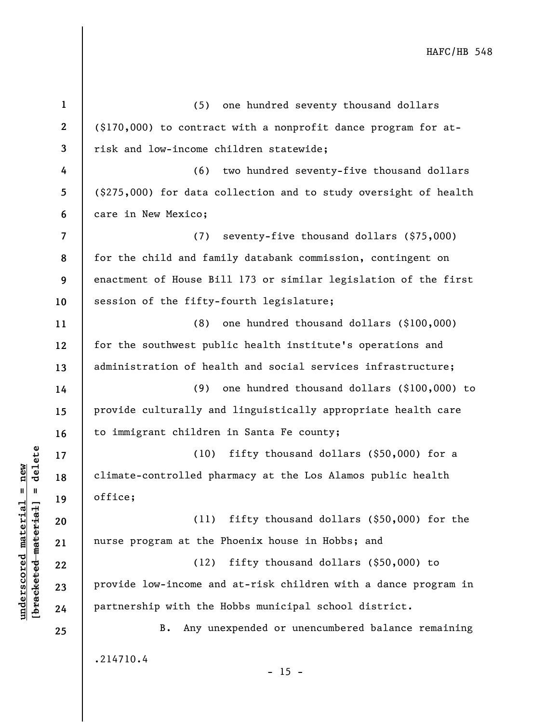**1 2 3 4 5 6 7 8 9 10 11 12 13 14 15 16 17 18 19 20 21 22 23 24 25**  (5) one hundred seventy thousand dollars (\$170,000) to contract with a nonprofit dance program for atrisk and low-income children statewide; (6) two hundred seventy-five thousand dollars (\$275,000) for data collection and to study oversight of health care in New Mexico; (7) seventy-five thousand dollars (\$75,000) for the child and family databank commission, contingent on enactment of House Bill 173 or similar legislation of the first session of the fifty-fourth legislature; (8) one hundred thousand dollars (\$100,000) for the southwest public health institute's operations and administration of health and social services infrastructure; (9) one hundred thousand dollars (\$100,000) to provide culturally and linguistically appropriate health care to immigrant children in Santa Fe county; (10) fifty thousand dollars (\$50,000) for a climate-controlled pharmacy at the Los Alamos public health office; (11) fifty thousand dollars (\$50,000) for the nurse program at the Phoenix house in Hobbs; and (12) fifty thousand dollars (\$50,000) to provide low-income and at-risk children with a dance program in partnership with the Hobbs municipal school district. B. Any unexpended or unencumbered balance remaining .214710.4  $- 15 -$ 

**underscored material = new [bracketed material] = delete**

 $\frac{1}{2}$  intereted material = delete  $underscored material = new$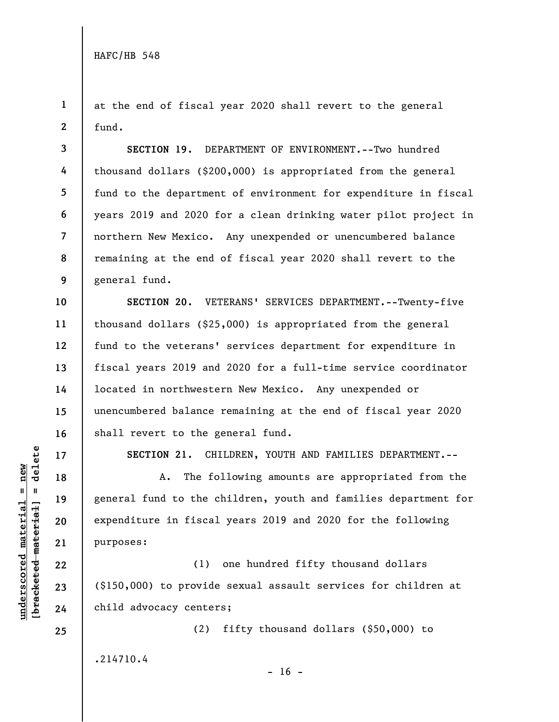**4** 

**5** 

**6** 

**7** 

**10** 

**11** 

**12** 

**13** 

**14** 

**15** 

**16** 

**17** 

**18** 

**19** 

**20** 

**21** 

**22** 

**23** 

**24** 

**25** 

**1 2**  at the end of fiscal year 2020 shall revert to the general fund.

**3 8 9 SECTION 19.** DEPARTMENT OF ENVIRONMENT.--Two hundred thousand dollars (\$200,000) is appropriated from the general fund to the department of environment for expenditure in fiscal years 2019 and 2020 for a clean drinking water pilot project in northern New Mexico. Any unexpended or unencumbered balance remaining at the end of fiscal year 2020 shall revert to the general fund.

**SECTION 20.** VETERANS' SERVICES DEPARTMENT.--Twenty-five thousand dollars (\$25,000) is appropriated from the general fund to the veterans' services department for expenditure in fiscal years 2019 and 2020 for a full-time service coordinator located in northwestern New Mexico. Any unexpended or unencumbered balance remaining at the end of fiscal year 2020 shall revert to the general fund.

**SECTION 21.** CHILDREN, YOUTH AND FAMILIES DEPARTMENT.--

A. The following amounts are appropriated from the general fund to the children, youth and families department for expenditure in fiscal years 2019 and 2020 for the following purposes:

(1) one hundred fifty thousand dollars (\$150,000) to provide sexual assault services for children at child advocacy centers;

(2) fifty thousand dollars (\$50,000) to

.214710.4

 $- 16 -$ 

 $b$ racketed material] = delete **[bracketed material] = delete**  $underscored material = new$ **underscored material = new**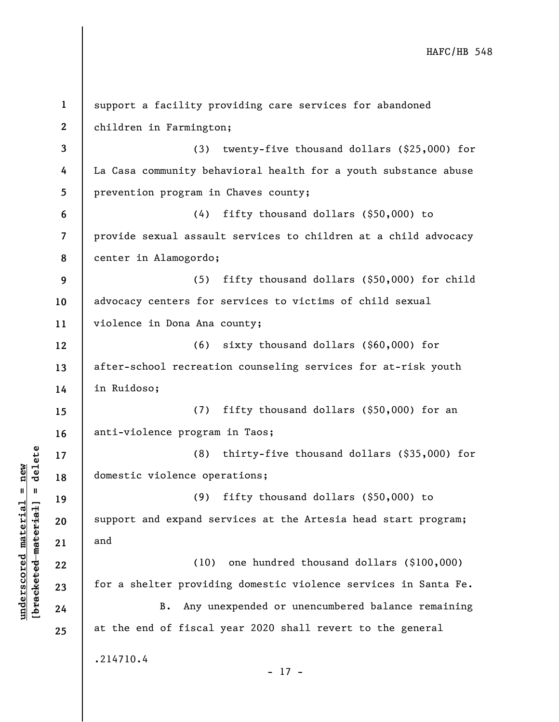| $\mathbf{1}$             | support a facility providing care services for abandoned        |
|--------------------------|-----------------------------------------------------------------|
| $\mathbf{2}$             | children in Farmington;                                         |
| 3                        | twenty-five thousand dollars (\$25,000) for<br>(3)              |
| 4                        | La Casa community behavioral health for a youth substance abuse |
| 5                        | prevention program in Chaves county;                            |
| 6                        | (4)<br>fifty thousand dollars $(\$50,000)$ to                   |
| $\overline{\phantom{a}}$ | provide sexual assault services to children at a child advocacy |
| 8                        | center in Alamogordo;                                           |
| 9                        | (5) fifty thousand dollars (\$50,000) for child                 |
| 10                       | advocacy centers for services to victims of child sexual        |
| 11                       | violence in Dona Ana county;                                    |
| 12                       | $(6)$ sixty thousand dollars $(\$60,000)$ for                   |
| 13                       | after-school recreation counseling services for at-risk youth   |
| 14                       | in Ruidoso;                                                     |
| 15                       | (7) fifty thousand dollars (\$50,000) for an                    |
| 16                       | anti-violence program in Taos;                                  |
| 17                       | (8)<br>thirty-five thousand dollars (\$35,000) for              |
| 18                       | domestic violence operations;                                   |
| 19                       | fifty thousand dollars (\$50,000) to<br>(9)                     |
| 20                       | support and expand services at the Artesia head start program;  |
| 21                       | and                                                             |
| 22                       | one hundred thousand dollars (\$100,000)<br>(10)                |
| 23                       | for a shelter providing domestic violence services in Santa Fe. |
| 24                       | Any unexpended or unencumbered balance remaining<br>$B$ .       |
| 25                       | at the end of fiscal year 2020 shall revert to the general      |
|                          | .214710.4                                                       |
|                          | $-17 -$                                                         |

**underscored material = new [bracketed material] = delete**

 $\frac{\text{underscored material} = \text{new}}{(\text{bracketed-materiat})}$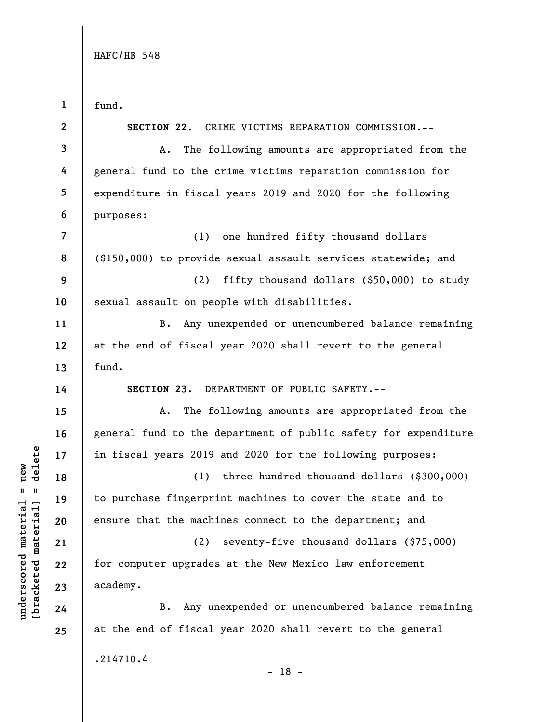**1 2 3 4 5 6 7 8 9 10 11 12 13 14 15 16 17 18 19 20 21 22 23 24 25**  fund. **SECTION 22.** CRIME VICTIMS REPARATION COMMISSION.-- A. The following amounts are appropriated from the general fund to the crime victims reparation commission for expenditure in fiscal years 2019 and 2020 for the following purposes: (1) one hundred fifty thousand dollars (\$150,000) to provide sexual assault services statewide; and (2) fifty thousand dollars (\$50,000) to study sexual assault on people with disabilities. B. Any unexpended or unencumbered balance remaining at the end of fiscal year 2020 shall revert to the general fund. **SECTION 23.** DEPARTMENT OF PUBLIC SAFETY.-- A. The following amounts are appropriated from the general fund to the department of public safety for expenditure in fiscal years 2019 and 2020 for the following purposes: (1) three hundred thousand dollars (\$300,000) to purchase fingerprint machines to cover the state and to ensure that the machines connect to the department; and (2) seventy-five thousand dollars (\$75,000) for computer upgrades at the New Mexico law enforcement academy. B. Any unexpended or unencumbered balance remaining at the end of fiscal year 2020 shall revert to the general .214710.4

 $b$ racketed material] = delete **[bracketed material] = delete**  $underscored material = new$ **underscored material = new**

- 18 -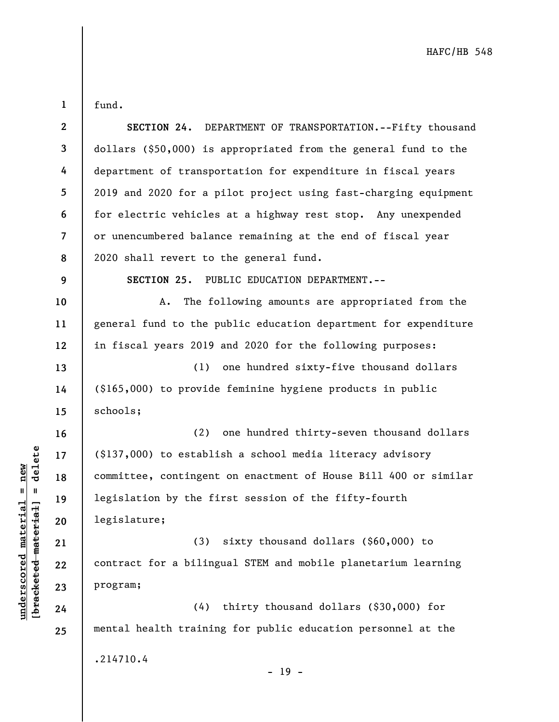fund.

**1** 

| $\boldsymbol{2}$ | SECTION 24. DEPARTMENT OF TRANSPORTATION.--Fifty thousand          |
|------------------|--------------------------------------------------------------------|
| $\mathbf{3}$     | dollars (\$50,000) is appropriated from the general fund to the    |
| 4                | department of transportation for expenditure in fiscal years       |
| 5                | 2019 and 2020 for a pilot project using fast-charging equipment    |
| 6                | for electric vehicles at a highway rest stop. Any unexpended       |
| 7                | or unencumbered balance remaining at the end of fiscal year        |
| 8                | 2020 shall revert to the general fund.                             |
| 9                | SECTION 25. PUBLIC EDUCATION DEPARTMENT.--                         |
| 10               | The following amounts are appropriated from the<br>Α.              |
| 11               | general fund to the public education department for expenditure    |
| 12               | in fiscal years 2019 and 2020 for the following purposes:          |
| 13               | (1) one hundred sixty-five thousand dollars                        |
| 14               | (\$165,000) to provide feminine hygiene products in public         |
| 15               | schools;                                                           |
| 16               | (2) one hundred thirty-seven thousand dollars                      |
| 17               | $(\text{\$}137,000)$ to establish a school media literacy advisory |
| 18               | committee, contingent on enactment of House Bill 400 or similar    |
| 19               | legislation by the first session of the fifty-fourth               |
| 20               | legislature;                                                       |
| 21               | (3) sixty thousand dollars (\$60,000) to                           |
| 22               | contract for a bilingual STEM and mobile planetarium learning      |
| 23               | program;                                                           |
| 24               | (4) thirty thousand dollars (\$30,000) for                         |
| 25               | mental health training for public education personnel at the       |
|                  | .214710.4                                                          |
|                  |                                                                    |

 $\frac{\text{underscored material} = \text{new}}{(\text{bracketed-materiat})}$ **[bracketed material] = delete underscored material = new**

- 19 -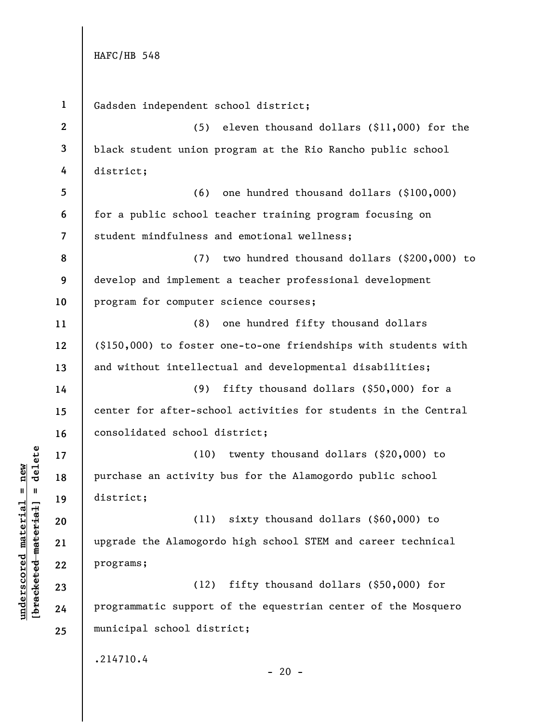**underscored material = new [bracketed material] = delete**

 $\frac{1}{2}$  are the text material = delete  $underscored material = new$ 

**1 2 3 4 5 6 7 8 9 10 11 12 13 14 15 16 17 18 19 20 21 22 23 24 25**  Gadsden independent school district; (5) eleven thousand dollars (\$11,000) for the black student union program at the Rio Rancho public school district; (6) one hundred thousand dollars (\$100,000) for a public school teacher training program focusing on student mindfulness and emotional wellness; (7) two hundred thousand dollars (\$200,000) to develop and implement a teacher professional development program for computer science courses; (8) one hundred fifty thousand dollars (\$150,000) to foster one-to-one friendships with students with and without intellectual and developmental disabilities; (9) fifty thousand dollars (\$50,000) for a center for after-school activities for students in the Central consolidated school district; (10) twenty thousand dollars (\$20,000) to purchase an activity bus for the Alamogordo public school district; (11) sixty thousand dollars (\$60,000) to upgrade the Alamogordo high school STEM and career technical programs; (12) fifty thousand dollars (\$50,000) for programmatic support of the equestrian center of the Mosquero municipal school district; .214710.4  $- 20 -$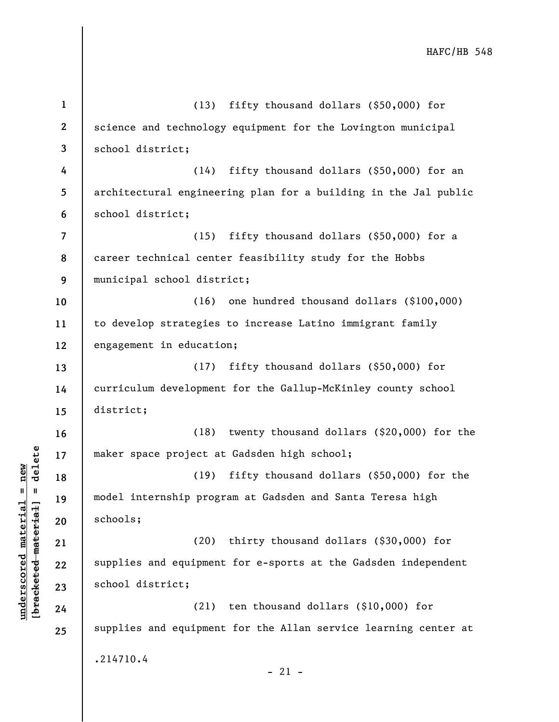**1 2 3 4 5 6 7 8 9 10 11 12 13 14 15 16 17 18 19 20 21 22 23 24 25**  (13) fifty thousand dollars (\$50,000) for science and technology equipment for the Lovington municipal school district; (14) fifty thousand dollars (\$50,000) for an architectural engineering plan for a building in the Jal public school district; (15) fifty thousand dollars (\$50,000) for a career technical center feasibility study for the Hobbs municipal school district; (16) one hundred thousand dollars (\$100,000) to develop strategies to increase Latino immigrant family engagement in education; (17) fifty thousand dollars (\$50,000) for curriculum development for the Gallup-McKinley county school district; (18) twenty thousand dollars (\$20,000) for the maker space project at Gadsden high school; (19) fifty thousand dollars (\$50,000) for the model internship program at Gadsden and Santa Teresa high schools; (20) thirty thousand dollars (\$30,000) for supplies and equipment for e-sports at the Gadsden independent school district; (21) ten thousand dollars (\$10,000) for supplies and equipment for the Allan service learning center at .214710.4  $-21 -$ 

**underscored material = new [bracketed material] = delete**

 $b$ racketed material] = delete  $underscored material = new$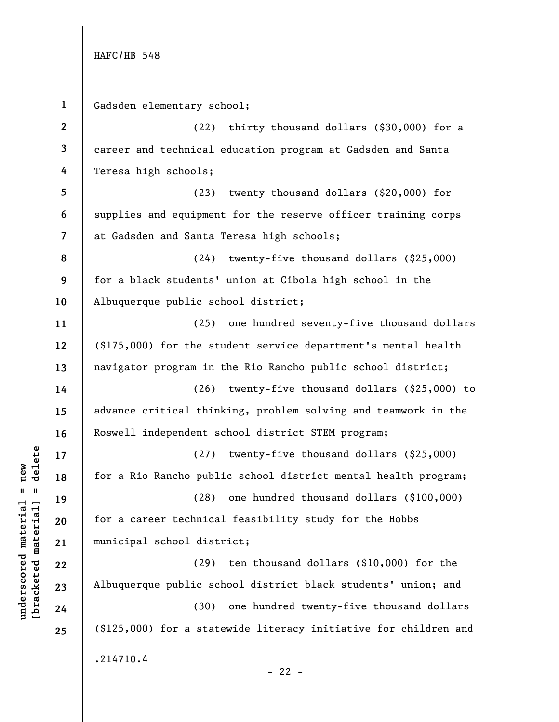**1 2 3 4 5 6 7 8 9 10 11 12 13 14 15 16 17 18 19 20 21 22 23 24 25**  Gadsden elementary school; (22) thirty thousand dollars (\$30,000) for a career and technical education program at Gadsden and Santa Teresa high schools; (23) twenty thousand dollars (\$20,000) for supplies and equipment for the reserve officer training corps at Gadsden and Santa Teresa high schools; (24) twenty-five thousand dollars (\$25,000) for a black students' union at Cibola high school in the Albuquerque public school district; (25) one hundred seventy-five thousand dollars (\$175,000) for the student service department's mental health navigator program in the Rio Rancho public school district; (26) twenty-five thousand dollars (\$25,000) to advance critical thinking, problem solving and teamwork in the Roswell independent school district STEM program; (27) twenty-five thousand dollars (\$25,000) for a Rio Rancho public school district mental health program; (28) one hundred thousand dollars (\$100,000) for a career technical feasibility study for the Hobbs municipal school district; (29) ten thousand dollars (\$10,000) for the Albuquerque public school district black students' union; and (30) one hundred twenty-five thousand dollars (\$125,000) for a statewide literacy initiative for children and .214710.4  $- 22 -$ 

### $b$ racketed material] = delete **[bracketed material] = delete**  $underscored material = new$ **underscored material = new**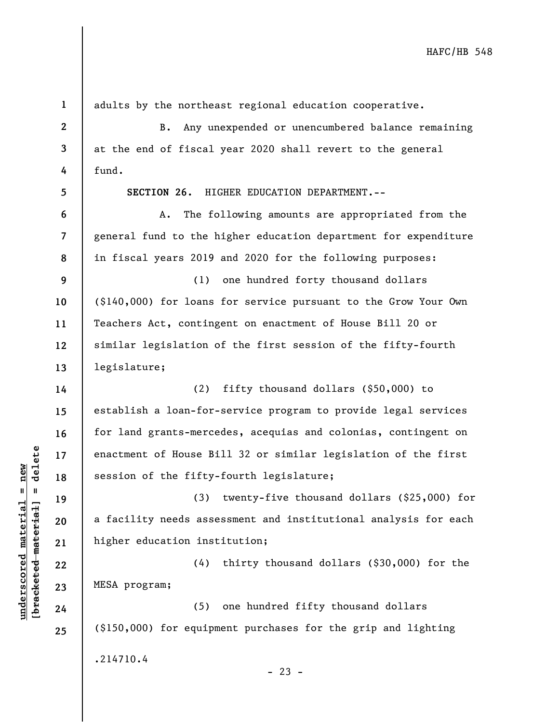**2 3 4 5 6 7 8 9 10 11 12 13 14 15 16 17 18 19 20 21 22 23 24 25**  B. Any unexpended or unencumbered balance remaining at the end of fiscal year 2020 shall revert to the general fund. **SECTION 26.** HIGHER EDUCATION DEPARTMENT.-- A. The following amounts are appropriated from the general fund to the higher education department for expenditure in fiscal years 2019 and 2020 for the following purposes: (1) one hundred forty thousand dollars (\$140,000) for loans for service pursuant to the Grow Your Own Teachers Act, contingent on enactment of House Bill 20 or similar legislation of the first session of the fifty-fourth legislature; (2) fifty thousand dollars (\$50,000) to establish a loan-for-service program to provide legal services for land grants-mercedes, acequias and colonias, contingent on enactment of House Bill 32 or similar legislation of the first session of the fifty-fourth legislature; (3) twenty-five thousand dollars (\$25,000) for a facility needs assessment and institutional analysis for each higher education institution; (4) thirty thousand dollars (\$30,000) for the MESA program; (5) one hundred fifty thousand dollars (\$150,000) for equipment purchases for the grip and lighting .214710.4

**1** 

**underscored material = new [bracketed material] = delete**

 $\frac{1}{2}$  intereted material = delete  $underscored material = new$ 

adults by the northeast regional education cooperative.

 $- 23 -$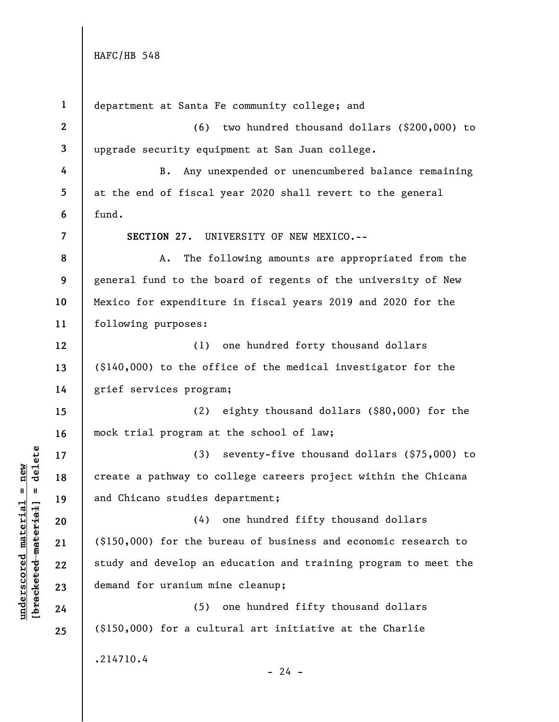| $\mathbf{1}$   | department at Santa Fe community college; and                   |
|----------------|-----------------------------------------------------------------|
| $\mathbf{2}$   | two hundred thousand dollars (\$200,000) to<br>(6)              |
| 3              | upgrade security equipment at San Juan college.                 |
| 4              | Any unexpended or unencumbered balance remaining<br>В.          |
| 5              | at the end of fiscal year 2020 shall revert to the general      |
| 6              | fund.                                                           |
| $\overline{7}$ | SECTION 27. UNIVERSITY OF NEW MEXICO.--                         |
| 8              | The following amounts are appropriated from the<br>A.           |
| 9              | general fund to the board of regents of the university of New   |
| 10             | Mexico for expenditure in fiscal years 2019 and 2020 for the    |
| 11             | following purposes:                                             |
| 12             | (1)<br>one hundred forty thousand dollars                       |
| 13             | $(\$140,000)$ to the office of the medical investigator for the |
| 14             | grief services program;                                         |
| 15             | eighty thousand dollars (\$80,000) for the<br>(2)               |
| 16             | mock trial program at the school of law;                        |
| 17             | seventy-five thousand dollars (\$75,000) to<br>(3)              |
| 18             | create a pathway to college careers project within the Chicana  |
| 19             | and Chicano studies department;                                 |
| 20             | (4) one hundred fifty thousand dollars                          |
| 21             | $(150,000)$ for the bureau of business and economic research to |
| 22             | study and develop an education and training program to meet the |
| 23             | demand for uranium mine cleanup;                                |
| 24             | one hundred fifty thousand dollars<br>(5)                       |
| 25             | $(\$150,000)$ for a cultural art initiative at the Charlie      |
|                | .214710.4                                                       |
|                | $-24 -$                                                         |

 $\frac{\text{underscored material} = \text{new}}{(\text{bracketed-materiat})}$ **[bracketed material] = delete underscored material = new**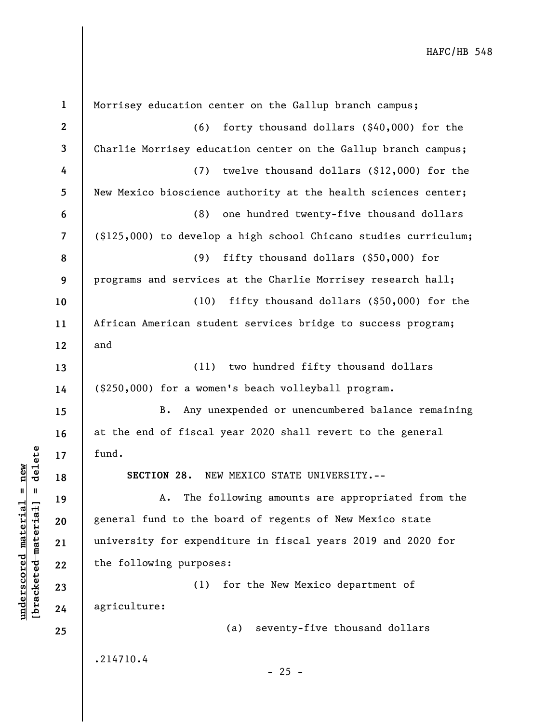**1 2 3 4 5 6 7 8 9 10 11 12 13 14 15 16 17 18 19 20 21 22 23 24 25**  Morrisey education center on the Gallup branch campus; (6) forty thousand dollars (\$40,000) for the Charlie Morrisey education center on the Gallup branch campus; (7) twelve thousand dollars (\$12,000) for the New Mexico bioscience authority at the health sciences center; (8) one hundred twenty-five thousand dollars (\$125,000) to develop a high school Chicano studies curriculum; (9) fifty thousand dollars (\$50,000) for programs and services at the Charlie Morrisey research hall; (10) fifty thousand dollars (\$50,000) for the African American student services bridge to success program; and (11) two hundred fifty thousand dollars (\$250,000) for a women's beach volleyball program. B. Any unexpended or unencumbered balance remaining at the end of fiscal year 2020 shall revert to the general fund. **SECTION 28.** NEW MEXICO STATE UNIVERSITY.-- A. The following amounts are appropriated from the general fund to the board of regents of New Mexico state university for expenditure in fiscal years 2019 and 2020 for the following purposes: (1) for the New Mexico department of agriculture: (a) seventy-five thousand dollars .214710.4  $- 25 -$ 

**underscored material = new [bracketed material] = delete**

 $b$ racketed material] = delete  $underscored material = new$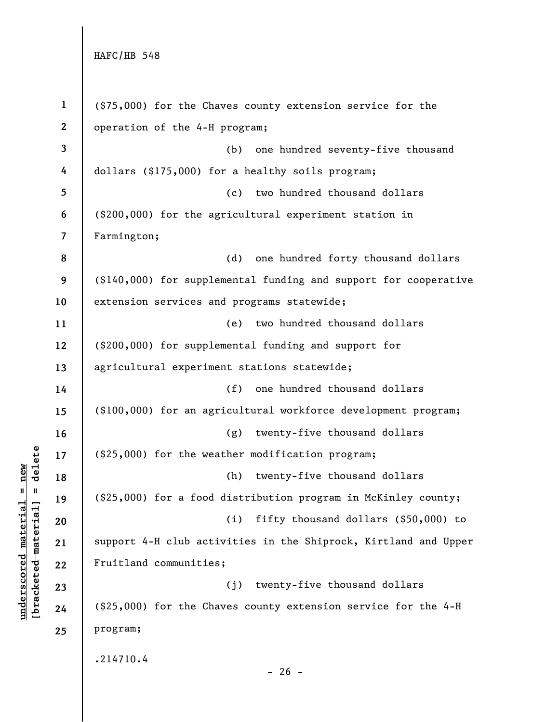**1 2 3 4 5 6 7 8 9 10 11 12 13 14 15 16 17 18 19 20 21 22 23 24 25**  (\$75,000) for the Chaves county extension service for the operation of the 4-H program; (b) one hundred seventy-five thousand dollars (\$175,000) for a healthy soils program; (c) two hundred thousand dollars (\$200,000) for the agricultural experiment station in Farmington; (d) one hundred forty thousand dollars (\$140,000) for supplemental funding and support for cooperative extension services and programs statewide; (e) two hundred thousand dollars (\$200,000) for supplemental funding and support for agricultural experiment stations statewide; (f) one hundred thousand dollars (\$100,000) for an agricultural workforce development program; (g) twenty-five thousand dollars (\$25,000) for the weather modification program; (h) twenty-five thousand dollars (\$25,000) for a food distribution program in McKinley county; (i) fifty thousand dollars (\$50,000) to support 4-H club activities in the Shiprock, Kirtland and Upper Fruitland communities; (j) twenty-five thousand dollars (\$25,000) for the Chaves county extension service for the 4-H program; .214710.4  $- 26 -$ 

 $b$ racketed material] = delete **[bracketed material] = delete**  $underscored material = new$ **underscored material = new**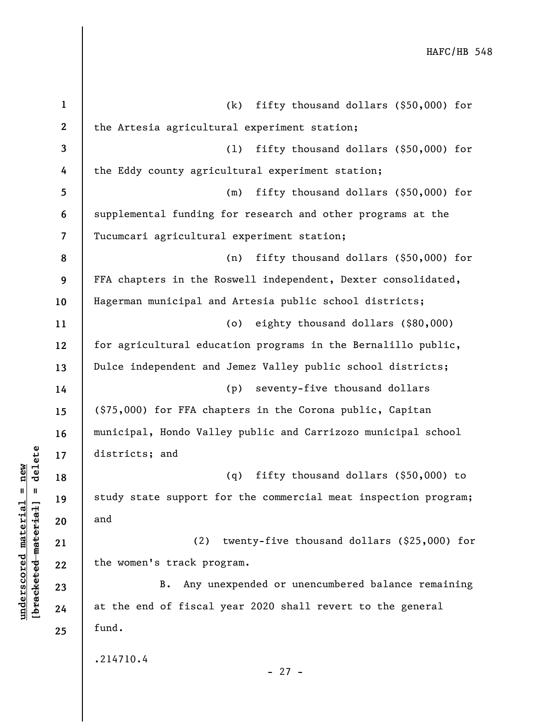| $\mathbf{1}$     | fifty thousand dollars (\$50,000) for<br>(k)                    |
|------------------|-----------------------------------------------------------------|
| $\boldsymbol{2}$ | the Artesia agricultural experiment station;                    |
| $\mathbf{3}$     | fifty thousand dollars (\$50,000) for<br>(1)                    |
| 4                | the Eddy county agricultural experiment station;                |
| 5                | fifty thousand dollars (\$50,000) for<br>(m)                    |
| 6                | supplemental funding for research and other programs at the     |
| $\overline{7}$   | Tucumcari agricultural experiment station;                      |
| 8                | fifty thousand dollars (\$50,000) for<br>(n)                    |
| 9                | FFA chapters in the Roswell independent, Dexter consolidated,   |
| 10               | Hagerman municipal and Artesia public school districts;         |
| 11               | (o) eighty thousand dollars (\$80,000)                          |
| 12               | for agricultural education programs in the Bernalillo public,   |
| 13               | Dulce independent and Jemez Valley public school districts;     |
| 14               | (p) seventy-five thousand dollars                               |
| 15               | (\$75,000) for FFA chapters in the Corona public, Capitan       |
| 16               | municipal, Hondo Valley public and Carrizozo municipal school   |
| 17               | districts; and                                                  |
| 18               | fifty thousand dollars (\$50,000) to<br>(q)                     |
| 19               | study state support for the commercial meat inspection program; |
| 20               | and                                                             |
| 21               | (2) twenty-five thousand dollars (\$25,000) for                 |
| 22               | the women's track program.                                      |
| 23               | Any unexpended or unencumbered balance remaining<br><b>B.</b>   |
| 24               | at the end of fiscal year 2020 shall revert to the general      |
| 25               | fund.                                                           |
|                  | .214710.4                                                       |

**underscored material = new [bracketed material] = delete**

 $[**bracket**et~~ed matched~~ + **net** + **1** + **1**$  = delete  $underscored material = new$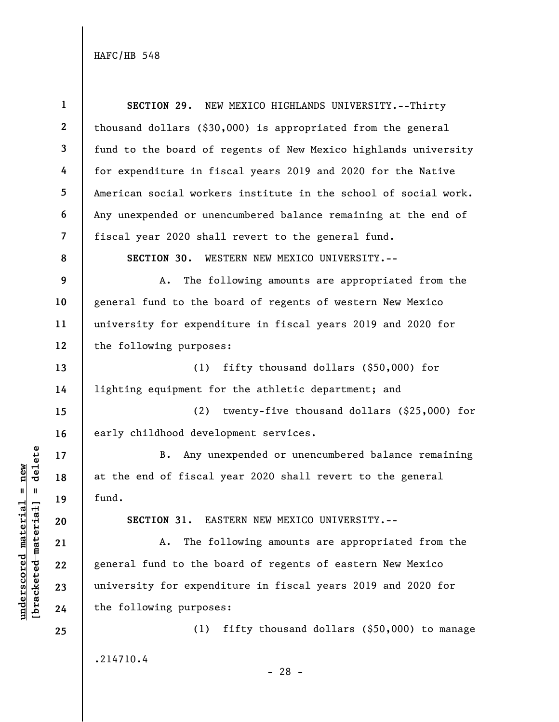| $\mathbf{1}$   | SECTION 29. NEW MEXICO HIGHLANDS UNIVERSITY.--Thirty            |
|----------------|-----------------------------------------------------------------|
| $\mathbf{2}$   | thousand dollars (\$30,000) is appropriated from the general    |
| 3              | fund to the board of regents of New Mexico highlands university |
| 4              | for expenditure in fiscal years 2019 and 2020 for the Native    |
| 5              | American social workers institute in the school of social work. |
| 6              | Any unexpended or unencumbered balance remaining at the end of  |
| $\overline{7}$ | fiscal year 2020 shall revert to the general fund.              |
| 8              | SECTION 30. WESTERN NEW MEXICO UNIVERSITY.--                    |
| 9              | The following amounts are appropriated from the<br>Α.           |
| 10             | general fund to the board of regents of western New Mexico      |
| 11             | university for expenditure in fiscal years 2019 and 2020 for    |
| 12             | the following purposes:                                         |
| 13             | fifty thousand dollars $(\$50,000)$ for<br>(1)                  |
| 14             | lighting equipment for the athletic department; and             |
| 15             | (2)<br>twenty-five thousand dollars (\$25,000) for              |
| 16             | early childhood development services.                           |
| 17             | Any unexpended or unencumbered balance remaining<br>B.          |
| 18             | at the end of fiscal year 2020 shall revert to the general      |
| 19             | fund.                                                           |
| 20             | SECTION 31. EASTERN NEW MEXICO UNIVERSITY.--                    |
| 21             | The following amounts are appropriated from the<br>Α.           |
| 22             | general fund to the board of regents of eastern New Mexico      |
| 23             | university for expenditure in fiscal years 2019 and 2020 for    |
| 24             | the following purposes:                                         |
| 25             | fifty thousand dollars (\$50,000) to manage<br>(1)              |
|                | .214710.4<br>າດ                                                 |

 $\frac{\text{underscored material} = \text{new}}{(\text{bracketed-materiat})}$ **[bracketed material] = delete underscored material = new**

- 28 -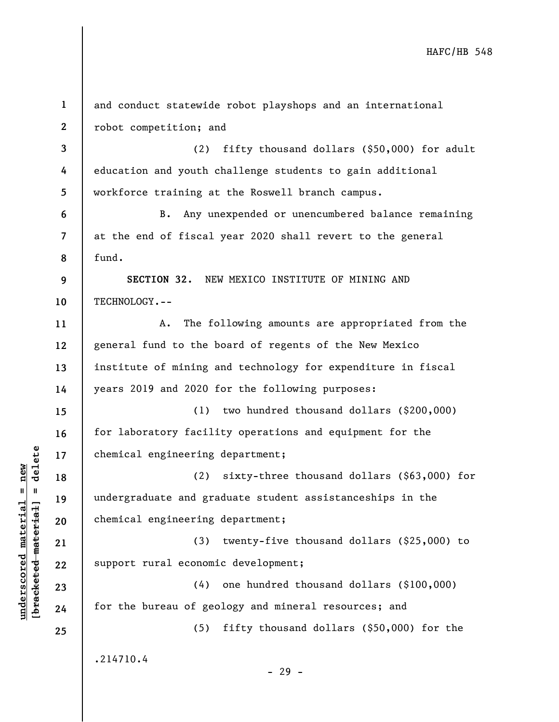| $\mathbf{1}$             | and conduct statewide robot playshops and an international   |
|--------------------------|--------------------------------------------------------------|
| $\boldsymbol{2}$         | robot competition; and                                       |
| $\mathbf{3}$             | fifty thousand dollars (\$50,000) for adult<br>(2)           |
| 4                        | education and youth challenge students to gain additional    |
| 5                        | workforce training at the Roswell branch campus.             |
| 6                        | Any unexpended or unencumbered balance remaining<br>$B$ .    |
| $\overline{\mathcal{L}}$ | at the end of fiscal year 2020 shall revert to the general   |
| 8                        | fund.                                                        |
| 9                        | SECTION 32. NEW MEXICO INSTITUTE OF MINING AND               |
| 10                       | TECHNOLOGY.--                                                |
| 11                       | The following amounts are appropriated from the<br>Α.        |
| 12                       | general fund to the board of regents of the New Mexico       |
| 13                       | institute of mining and technology for expenditure in fiscal |
| 14                       | years 2019 and 2020 for the following purposes:              |
| 15                       | (1) two hundred thousand dollars (\$200,000)                 |
| 16                       | for laboratory facility operations and equipment for the     |
| 17                       | chemical engineering department;                             |
| 18                       | (2)<br>sixty-three thousand dollars (\$63,000) for           |
| 19                       | undergraduate and graduate student assistanceships in the    |
| 20                       | chemical engineering department;                             |
| 21                       | (3) twenty-five thousand dollars (\$25,000) to               |
| 22                       | support rural economic development;                          |
| 23                       | (4) one hundred thousand dollars (\$100,000)                 |
| 24                       | for the bureau of geology and mineral resources; and         |
| 25                       | fifty thousand dollars (\$50,000) for the<br>(5)             |
|                          | .214710.4<br>- 29 -                                          |

**underscored material = new [bracketed material] = delete**

 $[bracketeed-materiat] = delete$  $underscored material = new$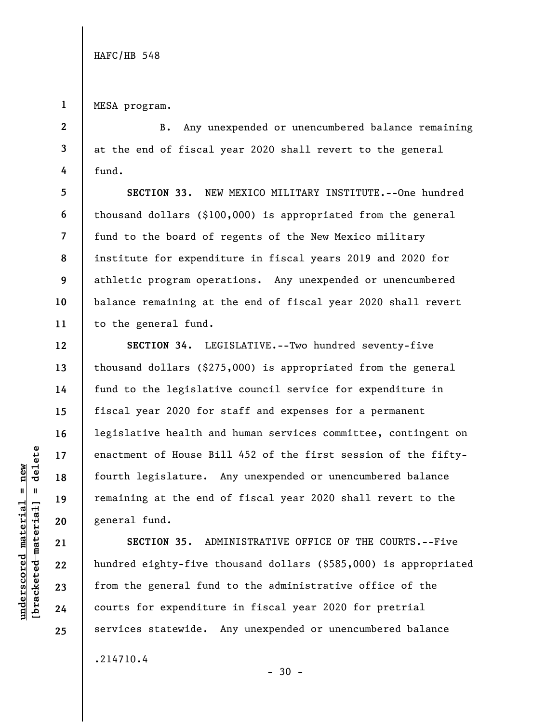**1**  MESA program.

**5** 

**6** 

**7** 

**8** 

**9** 

**10** 

**11** 

**12** 

**13** 

**14** 

**15** 

**16** 

**17** 

**18** 

**19** 

**20** 

**21** 

**22** 

**23** 

**24** 

**25** 

**2 3 4**  B. Any unexpended or unencumbered balance remaining at the end of fiscal year 2020 shall revert to the general fund.

**SECTION 33.** NEW MEXICO MILITARY INSTITUTE.--One hundred thousand dollars (\$100,000) is appropriated from the general fund to the board of regents of the New Mexico military institute for expenditure in fiscal years 2019 and 2020 for athletic program operations. Any unexpended or unencumbered balance remaining at the end of fiscal year 2020 shall revert to the general fund.

**SECTION 34.** LEGISLATIVE.--Two hundred seventy-five thousand dollars (\$275,000) is appropriated from the general fund to the legislative council service for expenditure in fiscal year 2020 for staff and expenses for a permanent legislative health and human services committee, contingent on enactment of House Bill 452 of the first session of the fiftyfourth legislature. Any unexpended or unencumbered balance remaining at the end of fiscal year 2020 shall revert to the general fund.

**SECTION 35.** ADMINISTRATIVE OFFICE OF THE COURTS.--Five hundred eighty-five thousand dollars (\$585,000) is appropriated from the general fund to the administrative office of the courts for expenditure in fiscal year 2020 for pretrial services statewide. Any unexpended or unencumbered balance .214710.4

 $-30 -$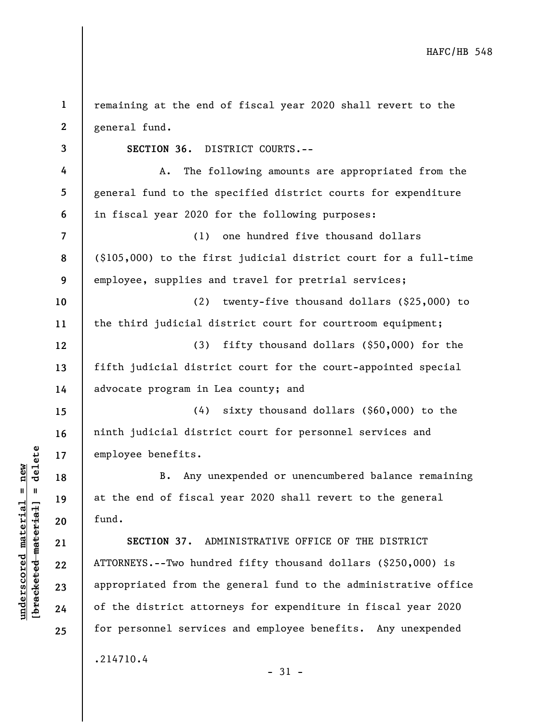| 1              | remaining at the end of fiscal year 2020 shall revert to the       |
|----------------|--------------------------------------------------------------------|
| $\mathbf{2}$   | general fund.                                                      |
| 3              | SECTION 36. DISTRICT COURTS.--                                     |
| 4              | The following amounts are appropriated from the<br>A.              |
| 5              | general fund to the specified district courts for expenditure      |
| 6              | in fiscal year 2020 for the following purposes:                    |
| $\overline{7}$ | one hundred five thousand dollars<br>(1)                           |
| 8              | $(\$105,000)$ to the first judicial district court for a full-time |
| 9              | employee, supplies and travel for pretrial services;               |
| 10             | (2)<br>twenty-five thousand dollars (\$25,000) to                  |
| 11             | the third judicial district court for courtroom equipment;         |
| 12             | fifty thousand dollars $(\$50,000)$ for the<br>(3)                 |
| 13             | fifth judicial district court for the court-appointed special      |
| 14             | advocate program in Lea county; and                                |
| 15             | sixty thousand dollars (\$60,000) to the<br>(4)                    |
| 16             | ninth judicial district court for personnel services and           |
| 17             | employee benefits.                                                 |
| 18             | Any unexpended or unencumbered balance remaining<br><b>B.</b>      |
| 19             | at the end of fiscal year 2020 shall revert to the general         |
| 20             | fund.                                                              |
| 21             | SECTION 37. ADMINISTRATIVE OFFICE OF THE DISTRICT                  |
| 22             | ATTORNEYS.--Two hundred fifty thousand dollars (\$250,000) is      |
| 23             | appropriated from the general fund to the administrative office    |
| 24             | of the district attorneys for expenditure in fiscal year 2020      |
| 25             | for personnel services and employee benefits. Any unexpended       |
|                | .214710.4                                                          |

- 31 -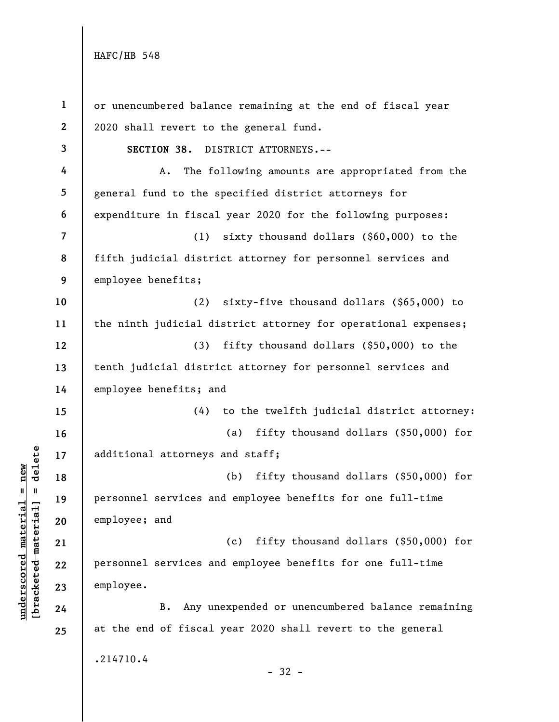| $\mathbf{1}$             | or unencumbered balance remaining at the end of fiscal year    |
|--------------------------|----------------------------------------------------------------|
| $\mathbf{2}$             | 2020 shall revert to the general fund.                         |
| 3                        | SECTION 38.<br>DISTRICT ATTORNEYS.--                           |
| 4                        | The following amounts are appropriated from the<br>Α.          |
| 5                        | general fund to the specified district attorneys for           |
| 6                        | expenditure in fiscal year 2020 for the following purposes:    |
| $\overline{\mathcal{L}}$ | (1)<br>sixty thousand dollars $(\$60,000)$ to the              |
| 8                        | fifth judicial district attorney for personnel services and    |
| 9                        | employee benefits;                                             |
| 10                       | (2)<br>sixty-five thousand dollars (\$65,000) to               |
| 11                       | the ninth judicial district attorney for operational expenses; |
| 12                       | fifty thousand dollars (\$50,000) to the<br>(3)                |
| 13                       | tenth judicial district attorney for personnel services and    |
| 14                       | employee benefits; and                                         |
| 15                       | (4) to the twelfth judicial district attorney:                 |
| 16                       | fifty thousand dollars (\$50,000) for<br>(a)                   |
| 17                       | additional attorneys and staff;                                |
| 18                       | (b)<br>fifty thousand dollars $(\$50,000)$ for                 |
| 19                       | personnel services and employee benefits for one full-time     |
| 20                       | employee; and                                                  |
| 21                       | fifty thousand dollars $(\$50,000)$ for<br>(c)                 |
| 22                       | personnel services and employee benefits for one full-time     |
| 23                       | employee.                                                      |
| 24                       | Any unexpended or unencumbered balance remaining<br>B.         |
| 25                       | at the end of fiscal year 2020 shall revert to the general     |
|                          | .214710.4                                                      |
|                          | $-32 -$                                                        |

# $\frac{\text{underscored material} = \text{new}}{(\text{bracketed-materiat})}$ **[bracketed material] = delete underscored material = new**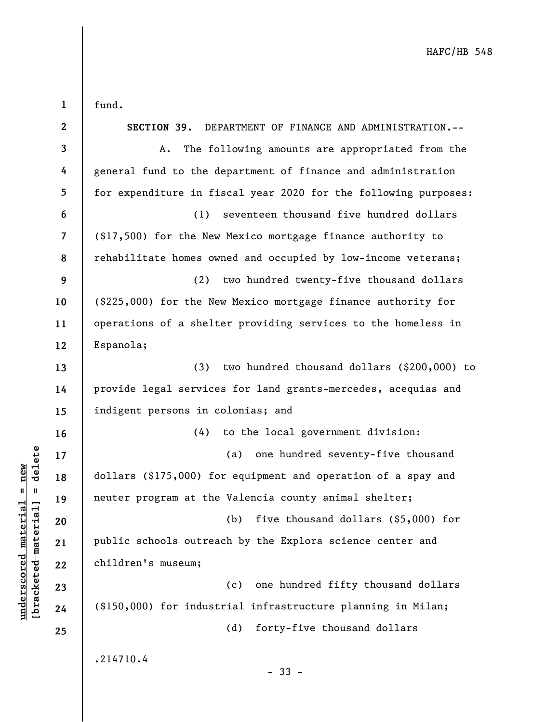**1**  fund.

**underscored material = new [bracketed material] = delete**

 $\frac{\text{underscored material} = \text{new}}{(\text{bracketed-materiat})}$ 

| $\mathbf{2}$             | SECTION 39. DEPARTMENT OF FINANCE AND ADMINISTRATION.--         |
|--------------------------|-----------------------------------------------------------------|
| 3                        | The following amounts are appropriated from the<br>A.           |
| 4                        | general fund to the department of finance and administration    |
| 5                        | for expenditure in fiscal year 2020 for the following purposes: |
| 6                        | seventeen thousand five hundred dollars<br>(1)                  |
| $\overline{\mathcal{L}}$ | (\$17,500) for the New Mexico mortgage finance authority to     |
| 8                        | rehabilitate homes owned and occupied by low-income veterans;   |
| 9                        | (2) two hundred twenty-five thousand dollars                    |
| 10                       | (\$225,000) for the New Mexico mortgage finance authority for   |
| 11                       | operations of a shelter providing services to the homeless in   |
| 12                       | Espanola;                                                       |
| 13                       | two hundred thousand dollars (\$200,000) to<br>(3)              |
| 14                       | provide legal services for land grants-mercedes, acequias and   |
| 15                       | indigent persons in colonias; and                               |
| 16                       | (4) to the local government division:                           |
| 17                       | (a) one hundred seventy-five thousand                           |
| 18                       | dollars (\$175,000) for equipment and operation of a spay and   |
| 19                       | neuter program at the Valencia county animal shelter;           |
| 20                       | five thousand dollars (\$5,000) for<br>(b)                      |
| 21                       | public schools outreach by the Explora science center and       |
| 22                       | children's museum;                                              |
| 23                       | one hundred fifty thousand dollars<br>(c)                       |
| 24                       | (\$150,000) for industrial infrastructure planning in Milan;    |
| 25                       | (d)<br>forty-five thousand dollars                              |
|                          | .214710.4<br>$-33 -$                                            |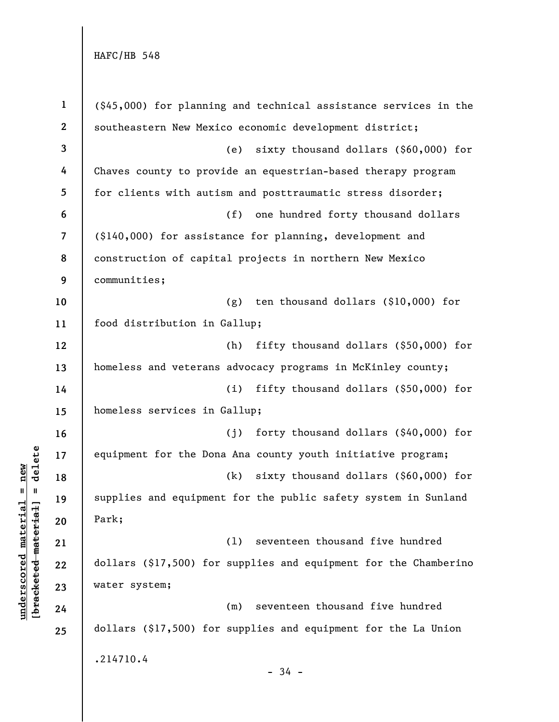| $\mathbf{1}$            | $(\$45,000)$ for planning and technical assistance services in the |
|-------------------------|--------------------------------------------------------------------|
| $\boldsymbol{2}$        | southeastern New Mexico economic development district;             |
| $\overline{\mathbf{3}}$ | sixty thousand dollars (\$60,000) for<br>(e)                       |
| 4                       | Chaves county to provide an equestrian-based therapy program       |
| 5                       | for clients with autism and posttraumatic stress disorder;         |
| $\boldsymbol{6}$        | (f)<br>one hundred forty thousand dollars                          |
| $\overline{7}$          | (\$140,000) for assistance for planning, development and           |
| 8                       | construction of capital projects in northern New Mexico            |
| 9                       | communities;                                                       |
| $10$                    | ten thousand dollars (\$10,000) for<br>(g)                         |
| 11                      | food distribution in Gallup;                                       |
| 12                      | fifty thousand dollars (\$50,000) for<br>(h)                       |
| 13                      | homeless and veterans advocacy programs in McKinley county;        |
| 14                      | fifty thousand dollars (\$50,000) for<br>(i)                       |
| 15                      | homeless services in Gallup;                                       |
| 16                      | (j)<br>forty thousand dollars $(\$40,000)$ for                     |
| 17                      | equipment for the Dona Ana county youth initiative program;        |
| 18                      | sixty thousand dollars (\$60,000) for<br>(k)                       |
| 19                      | supplies and equipment for the public safety system in Sunland     |
| 20                      | Park;                                                              |
| 21                      | seventeen thousand five hundred<br>(1)                             |
| 22                      | dollars (\$17,500) for supplies and equipment for the Chamberino   |
| 23                      | water system;                                                      |
| 24                      | seventeen thousand five hundred<br>(m)                             |
| 25                      | dollars (\$17,500) for supplies and equipment for the La Union     |
|                         | .214710.4                                                          |
|                         | $-34 -$                                                            |

 $\frac{\text{underscored material} = \text{new}}{(\text{bracketed-materiat})}$ **[bracketed material] = delete underscored material = new**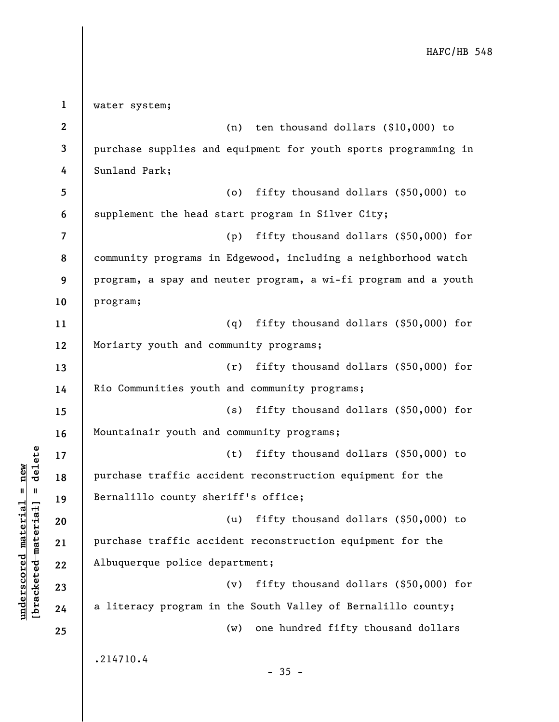**1 2 3 4 5 6 7 8 9 10 11 12 13 14 15 16 17 18 19 20 21 22 23 24 25**  water system; (n) ten thousand dollars (\$10,000) to purchase supplies and equipment for youth sports programming in Sunland Park; (o) fifty thousand dollars (\$50,000) to supplement the head start program in Silver City; (p) fifty thousand dollars (\$50,000) for community programs in Edgewood, including a neighborhood watch program, a spay and neuter program, a wi-fi program and a youth program; (q) fifty thousand dollars (\$50,000) for Moriarty youth and community programs; (r) fifty thousand dollars (\$50,000) for Rio Communities youth and community programs; (s) fifty thousand dollars (\$50,000) for Mountainair youth and community programs; (t) fifty thousand dollars (\$50,000) to purchase traffic accident reconstruction equipment for the Bernalillo county sheriff's office; (u) fifty thousand dollars (\$50,000) to purchase traffic accident reconstruction equipment for the Albuquerque police department; (v) fifty thousand dollars (\$50,000) for a literacy program in the South Valley of Bernalillo county; (w) one hundred fifty thousand dollars .214710.4  $-35 -$ 

**underscored material = new [bracketed material] = delete**

 $b$ racketed material] = delete  $underscored material = new$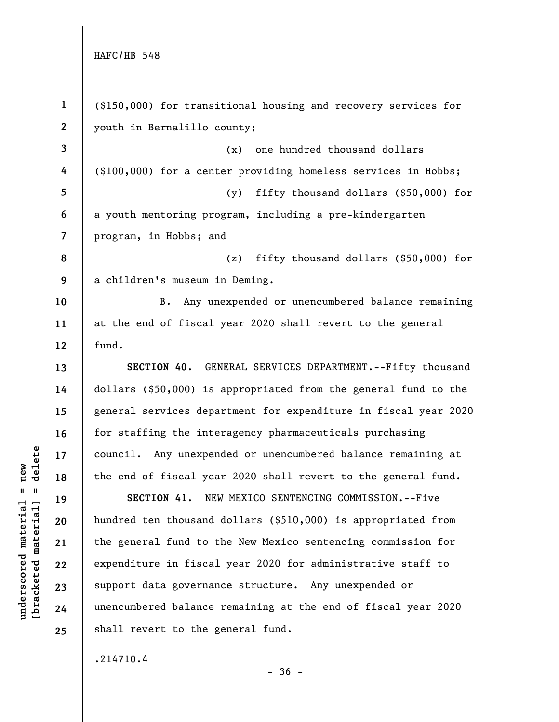**1 2 3 4 5 6 7 8 9 10 11 12 13 14 15 16 17 18 19 20 21 22 23 24 25**  (\$150,000) for transitional housing and recovery services for youth in Bernalillo county; (x) one hundred thousand dollars (\$100,000) for a center providing homeless services in Hobbs; (y) fifty thousand dollars (\$50,000) for a youth mentoring program, including a pre-kindergarten program, in Hobbs; and (z) fifty thousand dollars (\$50,000) for a children's museum in Deming. B. Any unexpended or unencumbered balance remaining at the end of fiscal year 2020 shall revert to the general fund. **SECTION 40.** GENERAL SERVICES DEPARTMENT.--Fifty thousand dollars (\$50,000) is appropriated from the general fund to the general services department for expenditure in fiscal year 2020 for staffing the interagency pharmaceuticals purchasing council. Any unexpended or unencumbered balance remaining at the end of fiscal year 2020 shall revert to the general fund. **SECTION 41.** NEW MEXICO SENTENCING COMMISSION.--Five hundred ten thousand dollars (\$510,000) is appropriated from the general fund to the New Mexico sentencing commission for expenditure in fiscal year 2020 for administrative staff to support data governance structure. Any unexpended or unencumbered balance remaining at the end of fiscal year 2020 shall revert to the general fund. .214710.4

 $b$ racketed material] = delete **[bracketed material] = delete**  $underscored material = new$ **underscored material = new**

 $-36 -$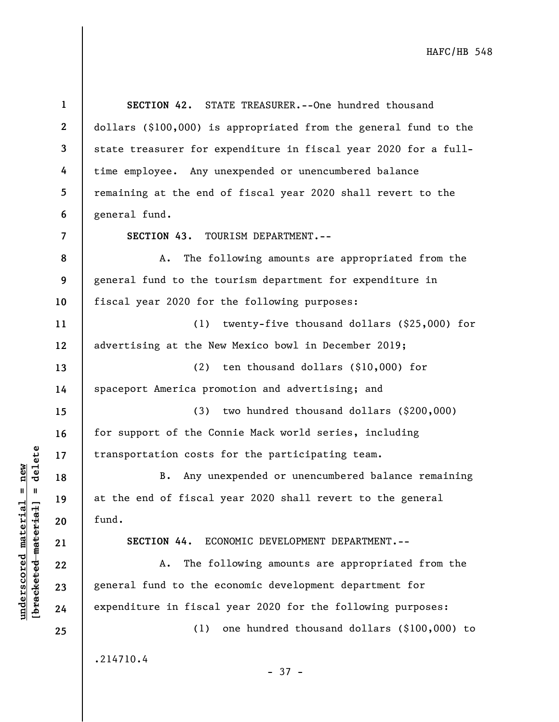**1 2 3 4 5 6 7 8 9 10 11 12 13 14 15 16 17 18 19 20 21 22 23 24 25 SECTION 42.** STATE TREASURER.--One hundred thousand dollars (\$100,000) is appropriated from the general fund to the state treasurer for expenditure in fiscal year 2020 for a fulltime employee. Any unexpended or unencumbered balance remaining at the end of fiscal year 2020 shall revert to the general fund. **SECTION 43.** TOURISM DEPARTMENT.-- A. The following amounts are appropriated from the general fund to the tourism department for expenditure in fiscal year 2020 for the following purposes: (1) twenty-five thousand dollars (\$25,000) for advertising at the New Mexico bowl in December 2019; (2) ten thousand dollars (\$10,000) for spaceport America promotion and advertising; and (3) two hundred thousand dollars (\$200,000) for support of the Connie Mack world series, including transportation costs for the participating team. B. Any unexpended or unencumbered balance remaining at the end of fiscal year 2020 shall revert to the general fund. **SECTION 44.** ECONOMIC DEVELOPMENT DEPARTMENT.-- A. The following amounts are appropriated from the general fund to the economic development department for expenditure in fiscal year 2020 for the following purposes: (1) one hundred thousand dollars (\$100,000) to .214710.4 - 37 -

**underscored material = new [bracketed material] = delete**

 $b$ racketed material] = delete  $underscored material = new$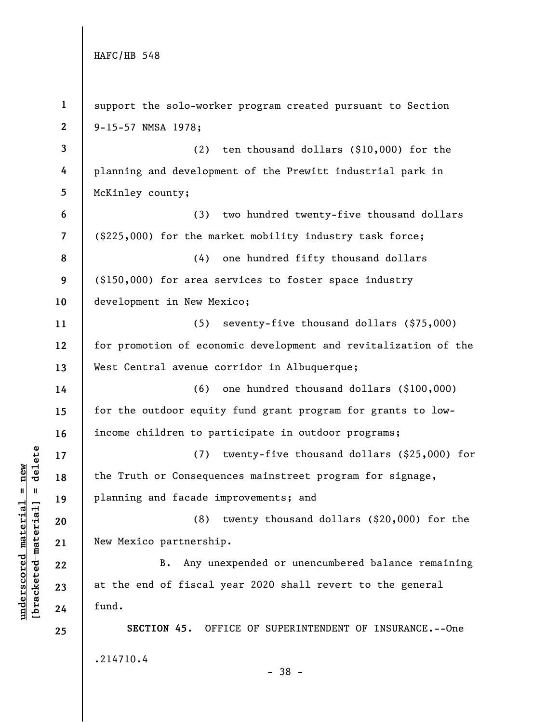**underscored material = new [bracketed material] = delete**

 $\frac{\text{underscored material} = \text{new}}{(\text{bracketed-materiat})}$ 

| $\mathbf{1}$             | support the solo-worker program created pursuant to Section     |
|--------------------------|-----------------------------------------------------------------|
| $\mathbf{2}$             | 9-15-57 NMSA 1978;                                              |
| 3                        | ten thousand dollars (\$10,000) for the<br>(2)                  |
| 4                        | planning and development of the Prewitt industrial park in      |
| 5                        | McKinley county;                                                |
| 6                        | two hundred twenty-five thousand dollars<br>(3)                 |
| $\overline{\phantom{a}}$ | (\$225,000) for the market mobility industry task force;        |
| 8                        | (4)<br>one hundred fifty thousand dollars                       |
| 9                        | (\$150,000) for area services to foster space industry          |
| 10                       | development in New Mexico;                                      |
| 11                       | (5)<br>seventy-five thousand dollars (\$75,000)                 |
| 12                       | for promotion of economic development and revitalization of the |
| 13                       | West Central avenue corridor in Albuquerque;                    |
| 14                       | one hundred thousand dollars (\$100,000)<br>(6)                 |
| 15                       | for the outdoor equity fund grant program for grants to low-    |
| 16                       | income children to participate in outdoor programs;             |
| 17                       | twenty-five thousand dollars (\$25,000) for<br>(7)              |
| 18                       | the Truth or Consequences mainstreet program for signage,       |
| 19                       | planning and facade improvements; and                           |
| 20                       | (8)<br>twenty thousand dollars $(\$20,000)$ for the             |
| 21                       | New Mexico partnership.                                         |
| 22                       | Any unexpended or unencumbered balance remaining<br>B.          |
| 23                       | at the end of fiscal year 2020 shall revert to the general      |
| 24                       | fund.                                                           |
| 25                       | SECTION 45. OFFICE OF SUPERINTENDENT OF INSURANCE.--One         |
|                          | .214710.4                                                       |
|                          | $-38 -$                                                         |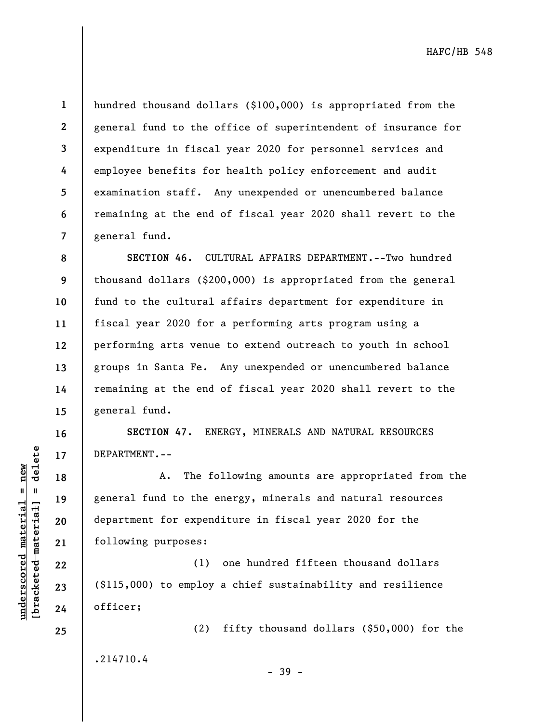$b$ racketed material] = delete **[bracketed material] = delete**  $underscored$  material = new **underscored material = new**

**11** 

**13** 

**14** 

**15** 

**16** 

**17** 

**18** 

**19** 

**20** 

**21** 

**22** 

**23** 

**24** 

**25** 

**1 2 3 4 5 6 7**  hundred thousand dollars (\$100,000) is appropriated from the general fund to the office of superintendent of insurance for expenditure in fiscal year 2020 for personnel services and employee benefits for health policy enforcement and audit examination staff. Any unexpended or unencumbered balance remaining at the end of fiscal year 2020 shall revert to the general fund.

**8 9 10 12 SECTION 46.** CULTURAL AFFAIRS DEPARTMENT.--Two hundred thousand dollars (\$200,000) is appropriated from the general fund to the cultural affairs department for expenditure in fiscal year 2020 for a performing arts program using a performing arts venue to extend outreach to youth in school groups in Santa Fe. Any unexpended or unencumbered balance remaining at the end of fiscal year 2020 shall revert to the general fund.

**SECTION 47.** ENERGY, MINERALS AND NATURAL RESOURCES DEPARTMENT.--

A. The following amounts are appropriated from the general fund to the energy, minerals and natural resources department for expenditure in fiscal year 2020 for the following purposes:

(1) one hundred fifteen thousand dollars (\$115,000) to employ a chief sustainability and resilience officer;

.214710.4

- 39 -

(2) fifty thousand dollars (\$50,000) for the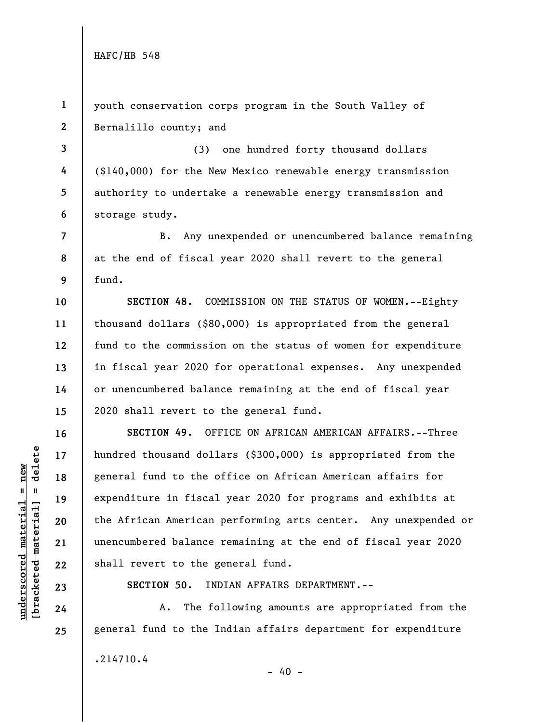**1 2**  youth conservation corps program in the South Valley of Bernalillo county; and

**3 4 5 6**  (3) one hundred forty thousand dollars (\$140,000) for the New Mexico renewable energy transmission authority to undertake a renewable energy transmission and storage study.

B. Any unexpended or unencumbered balance remaining at the end of fiscal year 2020 shall revert to the general fund.

**SECTION 48.** COMMISSION ON THE STATUS OF WOMEN.--Eighty thousand dollars (\$80,000) is appropriated from the general fund to the commission on the status of women for expenditure in fiscal year 2020 for operational expenses. Any unexpended or unencumbered balance remaining at the end of fiscal year 2020 shall revert to the general fund.

**SECTION 49.** OFFICE ON AFRICAN AMERICAN AFFAIRS.--Three hundred thousand dollars (\$300,000) is appropriated from the general fund to the office on African American affairs for expenditure in fiscal year 2020 for programs and exhibits at the African American performing arts center. Any unexpended or unencumbered balance remaining at the end of fiscal year 2020 shall revert to the general fund.

**SECTION 50.** INDIAN AFFAIRS DEPARTMENT.--

A. The following amounts are appropriated from the general fund to the Indian affairs department for expenditure .214710.4  $- 40 -$ 

 $b$ racketed material] = delete **[bracketed material] = delete**  $underscored material = new$ **underscored material = new**

**7** 

**8** 

**9** 

**10** 

**11** 

**12** 

**13** 

**14** 

**15** 

**16** 

**17** 

**18** 

**19** 

**20** 

**21** 

**22** 

**23** 

**24** 

**25**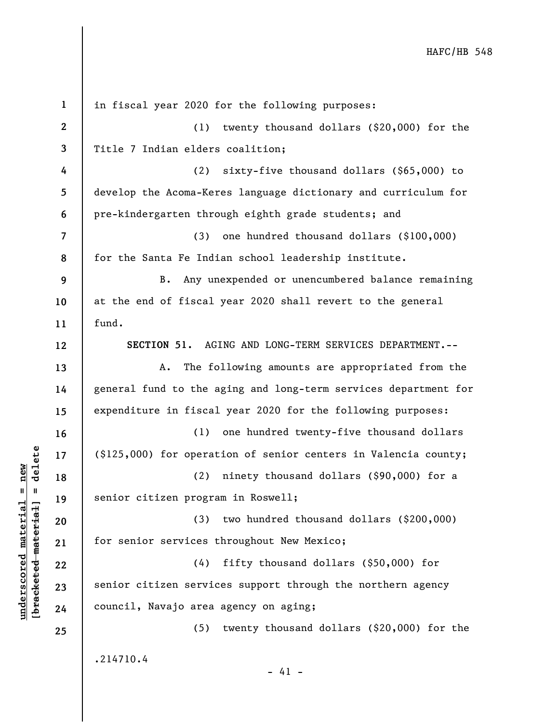**1 2 3 4 5 6 7 8 9 10 11 12 13 14 15 16 17 18 19 20 21 22 23 24 25**  in fiscal year 2020 for the following purposes: (1) twenty thousand dollars (\$20,000) for the Title 7 Indian elders coalition; (2) sixty-five thousand dollars (\$65,000) to develop the Acoma-Keres language dictionary and curriculum for pre-kindergarten through eighth grade students; and (3) one hundred thousand dollars (\$100,000) for the Santa Fe Indian school leadership institute. B. Any unexpended or unencumbered balance remaining at the end of fiscal year 2020 shall revert to the general  $find.$ **SECTION 51.** AGING AND LONG-TERM SERVICES DEPARTMENT.-- A. The following amounts are appropriated from the general fund to the aging and long-term services department for expenditure in fiscal year 2020 for the following purposes: (1) one hundred twenty-five thousand dollars (\$125,000) for operation of senior centers in Valencia county; (2) ninety thousand dollars (\$90,000) for a senior citizen program in Roswell; (3) two hundred thousand dollars (\$200,000) for senior services throughout New Mexico; (4) fifty thousand dollars (\$50,000) for senior citizen services support through the northern agency council, Navajo area agency on aging; (5) twenty thousand dollars (\$20,000) for the .214710.4  $- 41 -$ 

 $\frac{1}{2}$  bracketed material = delete **[bracketed material] = delete**  $underscored material = new$ **underscored material = new**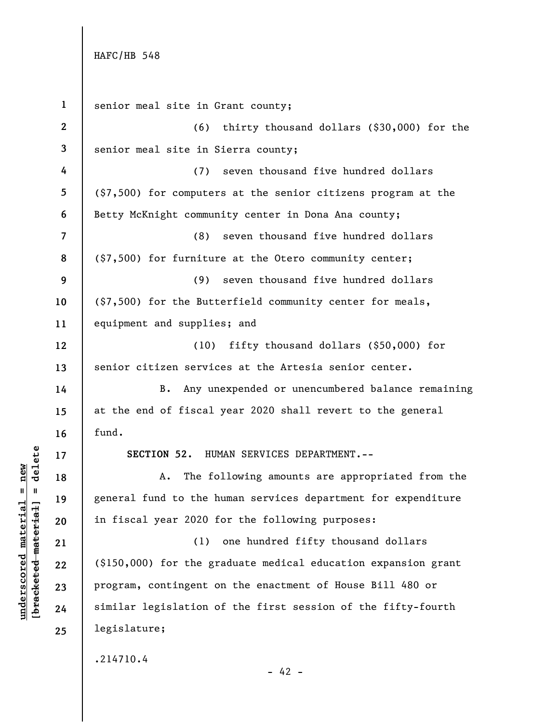**1 2 3 4 5 6 7 8 9 10 11 12 13 14 15 16 17 18 19 20 21 22 23 24 25**  senior meal site in Grant county; (6) thirty thousand dollars (\$30,000) for the senior meal site in Sierra county; (7) seven thousand five hundred dollars (\$7,500) for computers at the senior citizens program at the Betty McKnight community center in Dona Ana county; (8) seven thousand five hundred dollars (\$7,500) for furniture at the Otero community center; (9) seven thousand five hundred dollars (\$7,500) for the Butterfield community center for meals, equipment and supplies; and (10) fifty thousand dollars (\$50,000) for senior citizen services at the Artesia senior center. B. Any unexpended or unencumbered balance remaining at the end of fiscal year 2020 shall revert to the general fund. **SECTION 52.** HUMAN SERVICES DEPARTMENT.-- A. The following amounts are appropriated from the general fund to the human services department for expenditure in fiscal year 2020 for the following purposes: (1) one hundred fifty thousand dollars (\$150,000) for the graduate medical education expansion grant program, contingent on the enactment of House Bill 480 or similar legislation of the first session of the fifty-fourth legislature; .214710.4  $- 42 -$ 

 $b$ racketed material] = delete **[bracketed material] = delete**  $underscored material = new$ **underscored material = new**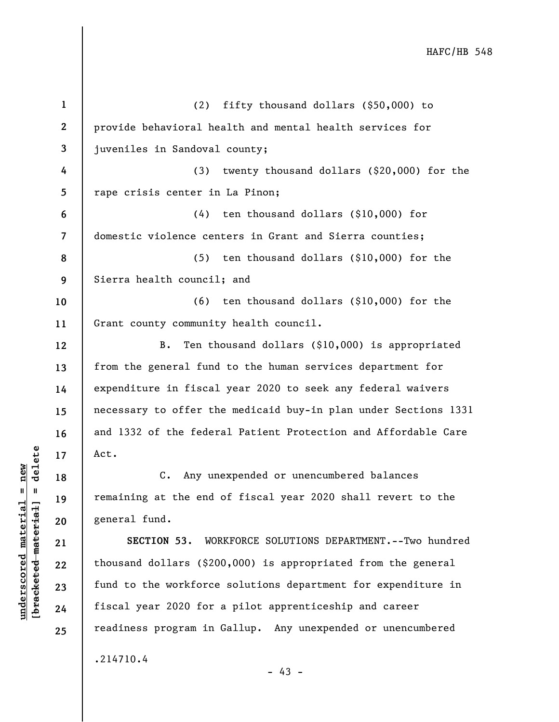| $\mathbf{1}$ | fifty thousand dollars (\$50,000) to<br>(2)                     |
|--------------|-----------------------------------------------------------------|
| $\mathbf{2}$ | provide behavioral health and mental health services for        |
| 3            | juveniles in Sandoval county;                                   |
| 4            | twenty thousand dollars (\$20,000) for the<br>(3)               |
| 5            | rape crisis center in La Pinon;                                 |
| 6            | ten thousand dollars (\$10,000) for<br>(4)                      |
| 7            | domestic violence centers in Grant and Sierra counties;         |
| 8            | ten thousand dollars $(\$10,000)$ for the<br>(5)                |
| 9            | Sierra health council; and                                      |
| 10           | ten thousand dollars (\$10,000) for the<br>(6)                  |
| 11           | Grant county community health council.                          |
| 12           | Ten thousand dollars (\$10,000) is appropriated<br>B.           |
| 13           | from the general fund to the human services department for      |
| 14           | expenditure in fiscal year 2020 to seek any federal waivers     |
| 15           | necessary to offer the medicaid buy-in plan under Sections 1331 |
| 16           | and 1332 of the federal Patient Protection and Affordable Care  |
| 17           | Act.                                                            |
| 18           | Any unexpended or unencumbered balances<br>$\mathsf{c}$ .       |
| 19           | remaining at the end of fiscal year 2020 shall revert to the    |
| 20           | general fund.                                                   |
| 21           | SECTION 53. WORKFORCE SOLUTIONS DEPARTMENT.--Two hundred        |
| 22           | thousand dollars (\$200,000) is appropriated from the general   |
| 23           | fund to the workforce solutions department for expenditure in   |
| 24           | fiscal year 2020 for a pilot apprenticeship and career          |
| 25           | readiness program in Gallup. Any unexpended or unencumbered     |
|              | .214710.4                                                       |

 $[bracketeed-materiat] = delete$ **[bracketed material] = delete**  $underscored material = new$ **underscored material = new**

- 43 -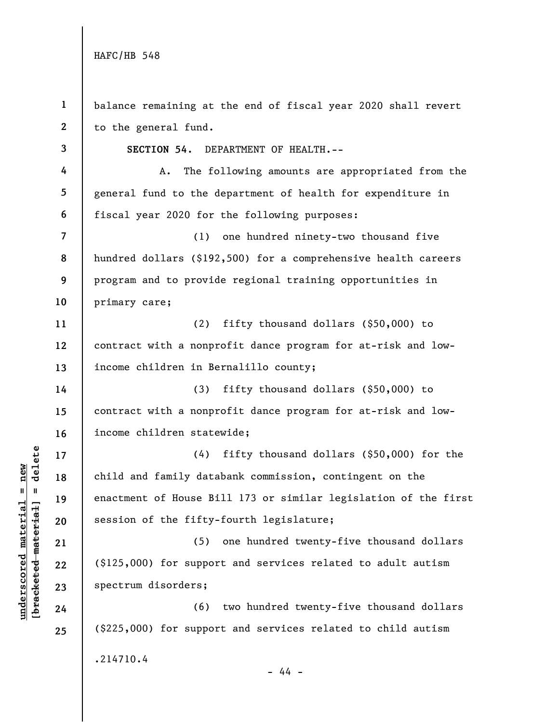**underscored material = new [bracketed material] = delete**

 $\frac{\text{underscored material} = \text{new}}{(\text{bracketed material}) = \text{dev}}$ 

| $\mathbf{1}$   | balance remaining at the end of fiscal year 2020 shall revert   |
|----------------|-----------------------------------------------------------------|
| $\mathbf{2}$   | to the general fund.                                            |
| 3              | SECTION 54. DEPARTMENT OF HEALTH.--                             |
| 4              | The following amounts are appropriated from the<br>Α.           |
| 5              | general fund to the department of health for expenditure in     |
| 6              | fiscal year 2020 for the following purposes:                    |
| $\overline{7}$ | one hundred ninety-two thousand five<br>(1)                     |
| 8              | hundred dollars (\$192,500) for a comprehensive health careers  |
| 9              | program and to provide regional training opportunities in       |
| 10             | primary care;                                                   |
| 11             | fifty thousand dollars (\$50,000) to<br>(2)                     |
| 12             | contract with a nonprofit dance program for at-risk and low-    |
| 13             | income children in Bernalillo county;                           |
| 14             | fifty thousand dollars (\$50,000) to<br>(3)                     |
| 15             | contract with a nonprofit dance program for at-risk and low-    |
| 16             | income children statewide;                                      |
| 17             | fifty thousand dollars (\$50,000) for the<br>(4)                |
| 18             | child and family databank commission, contingent on the         |
| 19             | enactment of House Bill 173 or similar legislation of the first |
| 20             | session of the fifty-fourth legislature;                        |
| 21             | (5)<br>one hundred twenty-five thousand dollars                 |
| 22             | (\$125,000) for support and services related to adult autism    |
| 23             | spectrum disorders;                                             |
| 24             | two hundred twenty-five thousand dollars<br>(6)                 |
| 25             | (\$225,000) for support and services related to child autism    |
|                | .214710.4                                                       |
|                | - 44 -                                                          |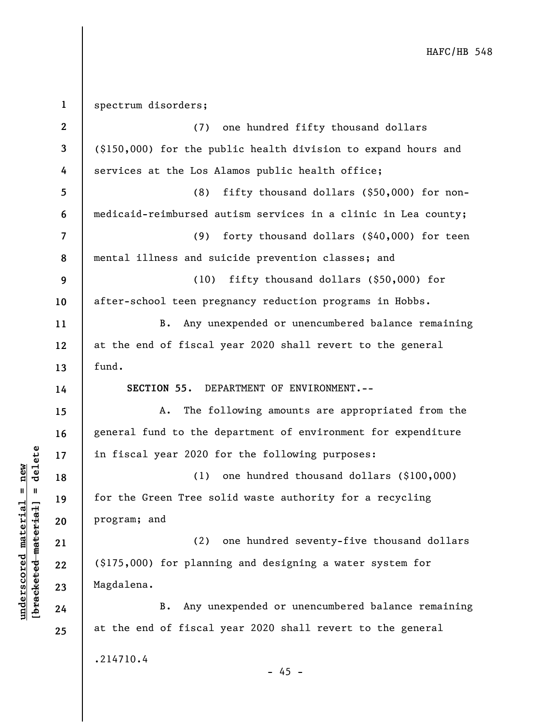**1 2 3 4 5 6 7 8 9 10 11 12 13 14 15 16 17 18 19 20 21 22 23 24 25**  spectrum disorders; (7) one hundred fifty thousand dollars (\$150,000) for the public health division to expand hours and services at the Los Alamos public health office; (8) fifty thousand dollars (\$50,000) for nonmedicaid-reimbursed autism services in a clinic in Lea county; (9) forty thousand dollars (\$40,000) for teen mental illness and suicide prevention classes; and (10) fifty thousand dollars (\$50,000) for after-school teen pregnancy reduction programs in Hobbs. B. Any unexpended or unencumbered balance remaining at the end of fiscal year 2020 shall revert to the general fund. **SECTION 55.** DEPARTMENT OF ENVIRONMENT.-- A. The following amounts are appropriated from the general fund to the department of environment for expenditure in fiscal year 2020 for the following purposes: (1) one hundred thousand dollars (\$100,000) for the Green Tree solid waste authority for a recycling program; and (2) one hundred seventy-five thousand dollars (\$175,000) for planning and designing a water system for Magdalena. B. Any unexpended or unencumbered balance remaining at the end of fiscal year 2020 shall revert to the general .214710.4  $- 45 -$ 

**underscored material = new [bracketed material] = delete**

 $\frac{1}{2}$  intereted material = delete  $underscored material = new$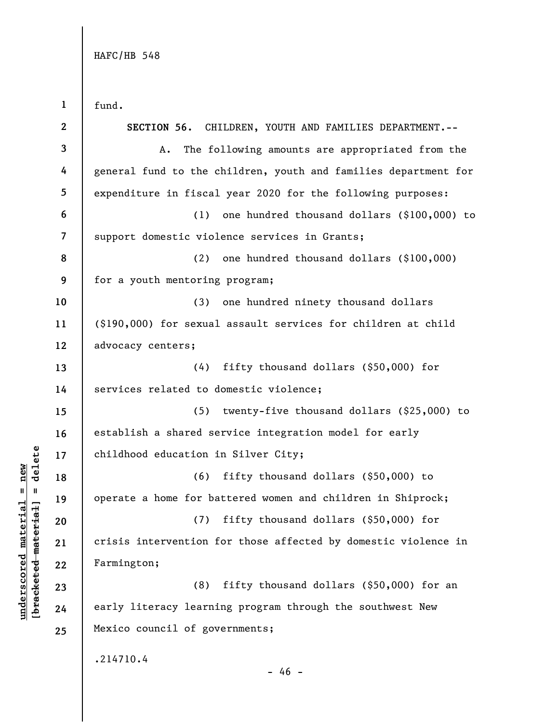**underscored material = new [bracketed material] = delete**

 $b$ racketed material] = delete  $underscored material = new$ 

**1 2 3 4 5 6 7 8 9 10 11 12 13 14 15 16 17 18 19 20 21 22 23 24 25**  fund. **SECTION 56.** CHILDREN, YOUTH AND FAMILIES DEPARTMENT.-- A. The following amounts are appropriated from the general fund to the children, youth and families department for expenditure in fiscal year 2020 for the following purposes: (1) one hundred thousand dollars (\$100,000) to support domestic violence services in Grants; (2) one hundred thousand dollars (\$100,000) for a youth mentoring program; (3) one hundred ninety thousand dollars (\$190,000) for sexual assault services for children at child advocacy centers; (4) fifty thousand dollars (\$50,000) for services related to domestic violence; (5) twenty-five thousand dollars (\$25,000) to establish a shared service integration model for early childhood education in Silver City; (6) fifty thousand dollars (\$50,000) to operate a home for battered women and children in Shiprock; (7) fifty thousand dollars (\$50,000) for crisis intervention for those affected by domestic violence in Farmington; (8) fifty thousand dollars (\$50,000) for an early literacy learning program through the southwest New Mexico council of governments; .214710.4  $- 46 -$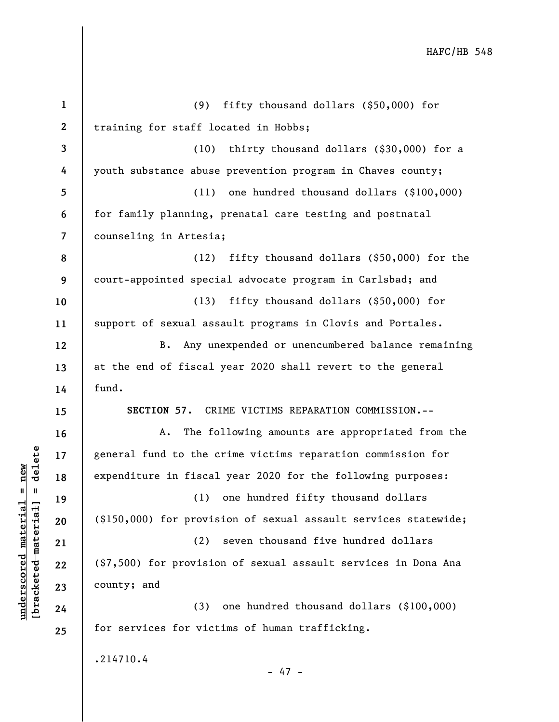| $\mathbf{1}$             | fifty thousand dollars (\$50,000) for<br>(9)                    |
|--------------------------|-----------------------------------------------------------------|
| $\mathbf{2}$             | training for staff located in Hobbs;                            |
| 3                        | (10) thirty thousand dollars (\$30,000) for a                   |
| 4                        | youth substance abuse prevention program in Chaves county;      |
| 5                        | one hundred thousand dollars (\$100,000)<br>(11)                |
| 6                        | for family planning, prenatal care testing and postnatal        |
| $\overline{\mathcal{L}}$ | counseling in Artesia;                                          |
| 8                        | (12) fifty thousand dollars (\$50,000) for the                  |
| 9                        | court-appointed special advocate program in Carlsbad; and       |
| 10                       | fifty thousand dollars (\$50,000) for<br>(13)                   |
| 11                       | support of sexual assault programs in Clovis and Portales.      |
| 12                       | B. Any unexpended or unencumbered balance remaining             |
| 13                       | at the end of fiscal year 2020 shall revert to the general      |
| 14                       | fund.                                                           |
| 15                       | SECTION 57.<br>CRIME VICTIMS REPARATION COMMISSION.--           |
| 16                       | The following amounts are appropriated from the<br>Α.           |
| 17                       | general fund to the crime victims reparation commission for     |
| 18                       | expenditure in fiscal year 2020 for the following purposes:     |
| 19                       | (1) one hundred fifty thousand dollars                          |
| 20                       | (\$150,000) for provision of sexual assault services statewide; |
| 21                       | seven thousand five hundred dollars<br>(2)                      |
| 22                       | (\$7,500) for provision of sexual assault services in Dona Ana  |
| 23                       | county; and                                                     |
| 24                       | one hundred thousand dollars (\$100,000)<br>(3)                 |
| 25                       | for services for victims of human trafficking.                  |
|                          | .214710.4<br>$-47 -$                                            |

 $[bracketeed-materiat] = delete$ **[bracketed material] = delete**  $underscored material = new$ **underscored material = new**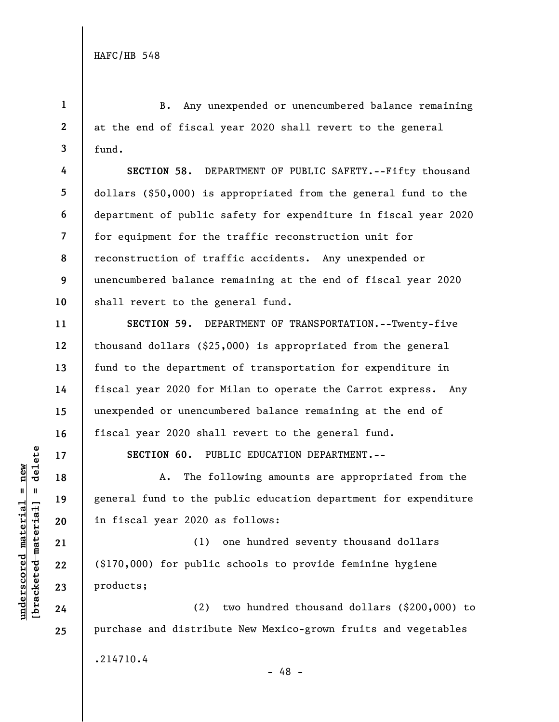**1** 

**4** 

**5** 

**6** 

**7** 

**9** 

**10** 

**11** 

**12** 

**13** 

**14** 

**15** 

**16** 

**17** 

**18** 

**19** 

**20** 

**21** 

**22** 

**23** 

**24** 

**25** 

**2 3**  B. Any unexpended or unencumbered balance remaining at the end of fiscal year 2020 shall revert to the general fund.

**8 SECTION 58.** DEPARTMENT OF PUBLIC SAFETY.--Fifty thousand dollars (\$50,000) is appropriated from the general fund to the department of public safety for expenditure in fiscal year 2020 for equipment for the traffic reconstruction unit for reconstruction of traffic accidents. Any unexpended or unencumbered balance remaining at the end of fiscal year 2020 shall revert to the general fund.

**SECTION 59.** DEPARTMENT OF TRANSPORTATION.--Twenty-five thousand dollars (\$25,000) is appropriated from the general fund to the department of transportation for expenditure in fiscal year 2020 for Milan to operate the Carrot express. Any unexpended or unencumbered balance remaining at the end of fiscal year 2020 shall revert to the general fund.

**SECTION 60.** PUBLIC EDUCATION DEPARTMENT.--

A. The following amounts are appropriated from the general fund to the public education department for expenditure in fiscal year 2020 as follows:

(1) one hundred seventy thousand dollars (\$170,000) for public schools to provide feminine hygiene products;

(2) two hundred thousand dollars (\$200,000) to purchase and distribute New Mexico-grown fruits and vegetables .214710.4

 $b$ racketed material] = delete **[bracketed material] = delete**  $underscored material = new$ **underscored material = new**

- 48 -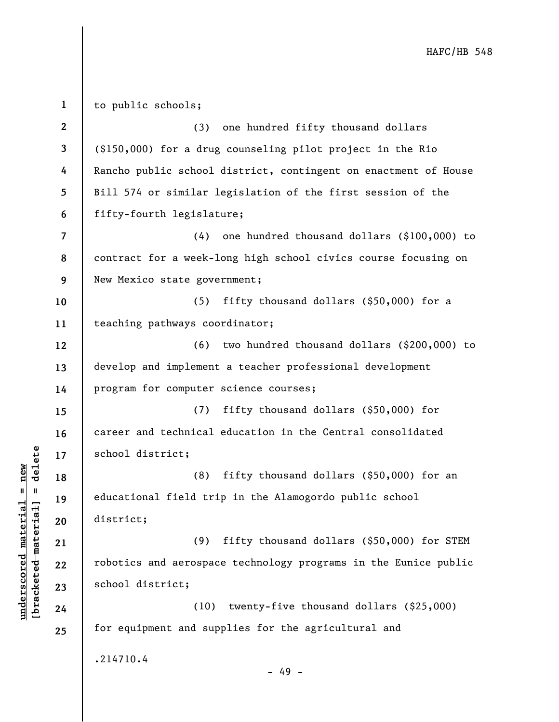**1 2 3 4 5 6 7 8 9 10 11 12 13 14 15 16 17 18 19 20 21 22 23 24 25**  to public schools; (3) one hundred fifty thousand dollars (\$150,000) for a drug counseling pilot project in the Rio Rancho public school district, contingent on enactment of House Bill 574 or similar legislation of the first session of the fifty-fourth legislature; (4) one hundred thousand dollars (\$100,000) to contract for a week-long high school civics course focusing on New Mexico state government; (5) fifty thousand dollars (\$50,000) for a teaching pathways coordinator; (6) two hundred thousand dollars (\$200,000) to develop and implement a teacher professional development program for computer science courses; (7) fifty thousand dollars (\$50,000) for career and technical education in the Central consolidated school district; (8) fifty thousand dollars (\$50,000) for an educational field trip in the Alamogordo public school district; (9) fifty thousand dollars (\$50,000) for STEM robotics and aerospace technology programs in the Eunice public school district; (10) twenty-five thousand dollars (\$25,000) for equipment and supplies for the agricultural and .214710.4 - 49 -

**underscored material = new [bracketed material] = delete**

 $\frac{1}{2}$  intereted material = delete  $underscored material = new$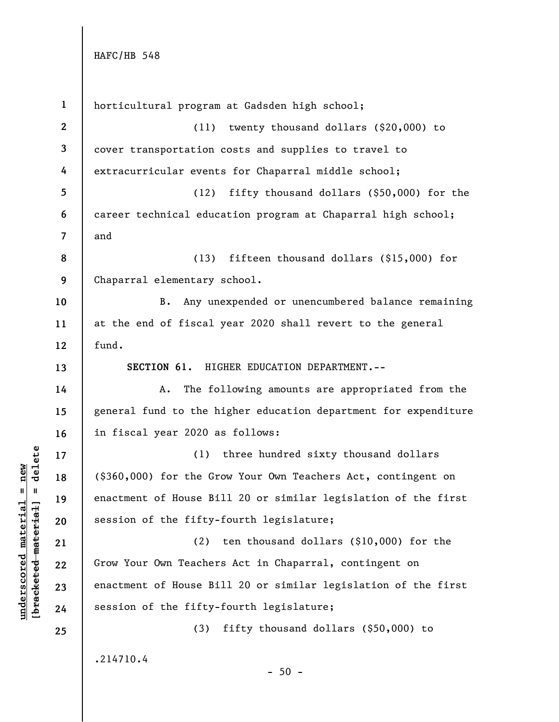| $\mathbf{1}$            | horticultural program at Gadsden high school;                   |
|-------------------------|-----------------------------------------------------------------|
| $\mathbf{2}$            | twenty thousand dollars (\$20,000) to<br>(11)                   |
| 3                       | cover transportation costs and supplies to travel to            |
| 4                       | extracurricular events for Chaparral middle school;             |
| 5                       | fifty thousand dollars $(\$50,000)$ for the<br>(12)             |
| 6                       | career technical education program at Chaparral high school;    |
| $\overline{\mathbf{7}}$ | and                                                             |
| 8                       | fifteen thousand dollars $(\$15,000)$ for<br>(13)               |
| 9                       | Chaparral elementary school.                                    |
| 10                      | Any unexpended or unencumbered balance remaining<br><b>B.</b>   |
| 11                      | at the end of fiscal year 2020 shall revert to the general      |
| 12                      | fund.                                                           |
| 13                      | SECTION 61. HIGHER EDUCATION DEPARTMENT.--                      |
| 14                      | The following amounts are appropriated from the<br>Α.           |
| 15                      | general fund to the higher education department for expenditure |
| 16                      | in fiscal year 2020 as follows:                                 |
| 17                      | three hundred sixty thousand dollars<br>(1)                     |
| 18                      | (\$360,000) for the Grow Your Own Teachers Act, contingent on   |
| 19                      | enactment of House Bill 20 or similar legislation of the first  |
| 20                      | session of the fifty-fourth legislature;                        |
| 21                      | ten thousand dollars $(\$10,000)$ for the<br>(2)                |
| 22                      | Grow Your Own Teachers Act in Chaparral, contingent on          |
| 23                      | enactment of House Bill 20 or similar legislation of the first  |
| 24                      | session of the fifty-fourth legislature;                        |
| 25                      | fifty thousand dollars (\$50,000) to<br>(3)                     |
|                         | .214710.4<br>$-50 -$                                            |

 $\frac{\text{underscored material} = \text{new}}{(\text{bracketed-materiat})}$ **[bracketed material] = delete underscored material = new**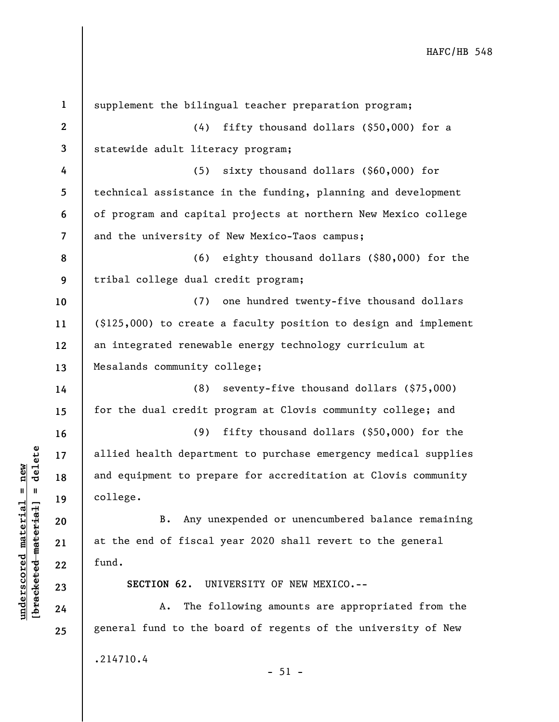| $\mathbf{1}$   | supplement the bilingual teacher preparation program;            |
|----------------|------------------------------------------------------------------|
| $\mathbf{2}$   | (4) fifty thousand dollars (\$50,000) for a                      |
| 3              | statewide adult literacy program;                                |
| 4              | sixty thousand dollars (\$60,000) for<br>(5)                     |
| 5              | technical assistance in the funding, planning and development    |
| 6              | of program and capital projects at northern New Mexico college   |
| $\overline{7}$ | and the university of New Mexico-Taos campus;                    |
| 8              | (6) eighty thousand dollars (\$80,000) for the                   |
| 9              | tribal college dual credit program;                              |
| 10             | (7) one hundred twenty-five thousand dollars                     |
| 11             | (\$125,000) to create a faculty position to design and implement |
| 12             | an integrated renewable energy technology curriculum at          |
| 13             | Mesalands community college;                                     |
| 14             | (8) seventy-five thousand dollars (\$75,000)                     |
| 15             | for the dual credit program at Clovis community college; and     |
| 16             | fifty thousand dollars (\$50,000) for the<br>(9)                 |
| 17             | allied health department to purchase emergency medical supplies  |
| 18             | and equipment to prepare for accreditation at Clovis community   |
| 19             | college.                                                         |
| 20             | B. Any unexpended or unencumbered balance remaining              |
| 21             | at the end of fiscal year 2020 shall revert to the general       |
| 22             | fund.                                                            |
| 23             | SECTION 62.<br>UNIVERSITY OF NEW MEXICO.--                       |
| 24             | The following amounts are appropriated from the<br>Α.            |
| 25             | general fund to the board of regents of the university of New    |
|                | .214710.4<br>$-51 -$                                             |

**underscored material = new [bracketed material] = delete**

 $[bracketeed-materiat] = delete$  $underscored material = new$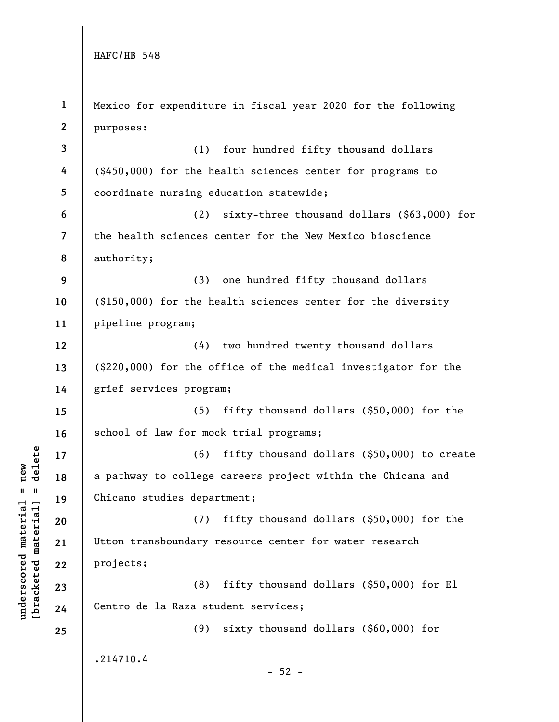**underscored material = new [bracketed material] = delete**

 $\frac{\text{underscored material} = \text{new}}{(\text{bracketed material}) = \text{dev}}$ 

| $\mathbf{1}$     | Mexico for expenditure in fiscal year 2020 for the following   |
|------------------|----------------------------------------------------------------|
| $\boldsymbol{2}$ | purposes:                                                      |
| $\mathbf{3}$     | four hundred fifty thousand dollars<br>(1)                     |
| 4                | (\$450,000) for the health sciences center for programs to     |
| 5                | coordinate nursing education statewide;                        |
| 6                | sixty-three thousand dollars (\$63,000) for<br>(2)             |
| $\overline{7}$   | the health sciences center for the New Mexico bioscience       |
| 8                | authority;                                                     |
| 9                | (3)<br>one hundred fifty thousand dollars                      |
| 10               | (\$150,000) for the health sciences center for the diversity   |
| 11               | pipeline program;                                              |
| 12               | (4)<br>two hundred twenty thousand dollars                     |
| 13               | (\$220,000) for the office of the medical investigator for the |
| 14               | grief services program;                                        |
| 15               | (5)<br>fifty thousand dollars $(\$50,000)$ for the             |
| 16               | school of law for mock trial programs;                         |
| 17               | (6)<br>fifty thousand dollars (\$50,000) to create             |
| 18               | a pathway to college careers project within the Chicana and    |
| 19               | Chicano studies department;                                    |
| 20               | fifty thousand dollars (\$50,000) for the<br>(7)               |
| 21               | Utton transboundary resource center for water research         |
| 22               | projects;                                                      |
| 23               | (8)<br>fifty thousand dollars (\$50,000) for El                |
| 24               | Centro de la Raza student services;                            |
| 25               | (9)<br>sixty thousand dollars $(\$60,000)$ for                 |
|                  | .214710.4<br>$-52 -$                                           |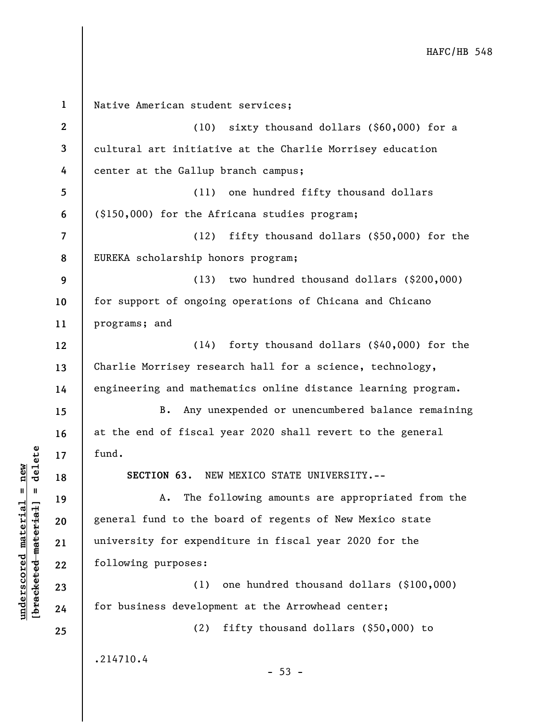**1 2 3 4 5 6 7 8 9 10 11 12 13 14 15 16 17 18 19 20 21 22 23 24 25**  Native American student services; (10) sixty thousand dollars (\$60,000) for a cultural art initiative at the Charlie Morrisey education center at the Gallup branch campus; (11) one hundred fifty thousand dollars (\$150,000) for the Africana studies program; (12) fifty thousand dollars (\$50,000) for the EUREKA scholarship honors program; (13) two hundred thousand dollars (\$200,000) for support of ongoing operations of Chicana and Chicano programs; and (14) forty thousand dollars (\$40,000) for the Charlie Morrisey research hall for a science, technology, engineering and mathematics online distance learning program. B. Any unexpended or unencumbered balance remaining at the end of fiscal year 2020 shall revert to the general fund. **SECTION 63.** NEW MEXICO STATE UNIVERSITY.-- A. The following amounts are appropriated from the general fund to the board of regents of New Mexico state university for expenditure in fiscal year 2020 for the following purposes: (1) one hundred thousand dollars (\$100,000) for business development at the Arrowhead center; (2) fifty thousand dollars (\$50,000) to .214710.4  $-53 -$ 

**underscored material = new [bracketed material] = delete**

 $b$ racketed material] = delete  $underscored material = new$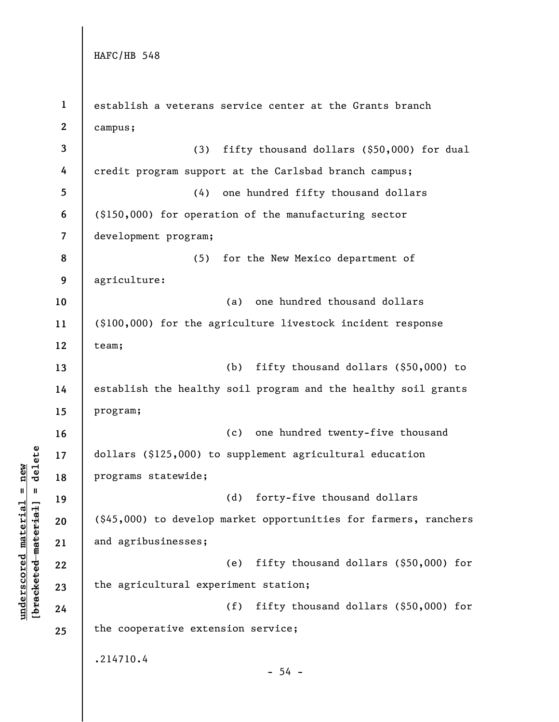**1 2 3 4 5 6 7 8 9 10 11 12 13 14 15 16 17 18 19 20 21 22 23 24 25**  establish a veterans service center at the Grants branch campus; (3) fifty thousand dollars (\$50,000) for dual credit program support at the Carlsbad branch campus; (4) one hundred fifty thousand dollars (\$150,000) for operation of the manufacturing sector development program; (5) for the New Mexico department of agriculture: (a) one hundred thousand dollars (\$100,000) for the agriculture livestock incident response team; (b) fifty thousand dollars (\$50,000) to establish the healthy soil program and the healthy soil grants program; (c) one hundred twenty-five thousand dollars (\$125,000) to supplement agricultural education programs statewide; (d) forty-five thousand dollars (\$45,000) to develop market opportunities for farmers, ranchers and agribusinesses; (e) fifty thousand dollars (\$50,000) for the agricultural experiment station; (f) fifty thousand dollars (\$50,000) for the cooperative extension service; .214710.4  $-54 -$ 

 $b$ racketed material] = delete **[bracketed material] = delete**  $underscored material = new$ **underscored material = new**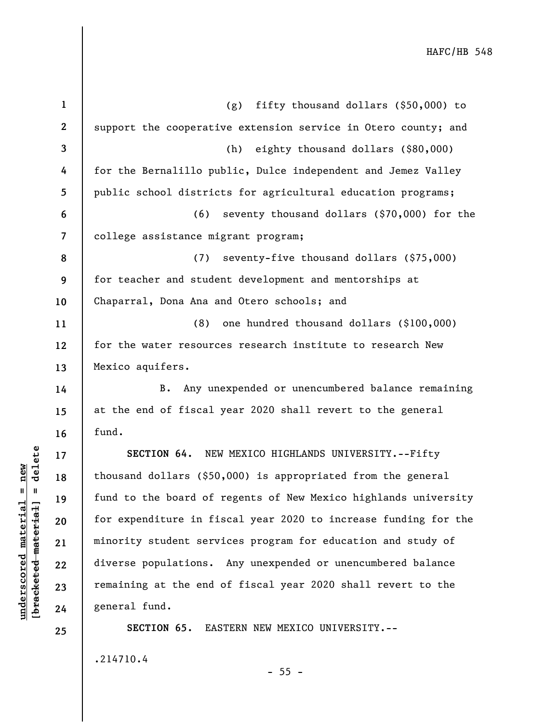| $\mathbf{1}$             | fifty thousand dollars $(§50,000)$ to<br>(g)                    |
|--------------------------|-----------------------------------------------------------------|
| $\mathbf{2}$             | support the cooperative extension service in Otero county; and  |
| 3                        | eighty thousand dollars (\$80,000)<br>(h)                       |
| 4                        | for the Bernalillo public, Dulce independent and Jemez Valley   |
| 5                        | public school districts for agricultural education programs;    |
| 6                        | seventy thousand dollars (\$70,000) for the<br>(6)              |
| $\overline{\mathcal{L}}$ | college assistance migrant program;                             |
| 8                        | (7)<br>seventy-five thousand dollars (\$75,000)                 |
| 9                        | for teacher and student development and mentorships at          |
| 10                       | Chaparral, Dona Ana and Otero schools; and                      |
| 11                       | one hundred thousand dollars (\$100,000)<br>(8)                 |
| 12                       | for the water resources research institute to research New      |
| 13                       | Mexico aquifers.                                                |
|                          |                                                                 |
| 14                       | Any unexpended or unencumbered balance remaining<br><b>B.</b>   |
| 15                       | at the end of fiscal year 2020 shall revert to the general      |
| 16                       | fund.                                                           |
| 17                       | SECTION 64. NEW MEXICO HIGHLANDS UNIVERSITY.--Fifty             |
| 18                       | thousand dollars (\$50,000) is appropriated from the general    |
| 19                       | fund to the board of regents of New Mexico highlands university |
| 20                       | for expenditure in fiscal year 2020 to increase funding for the |
| 21                       | minority student services program for education and study of    |
| 22                       | diverse populations. Any unexpended or unencumbered balance     |
| 23                       | remaining at the end of fiscal year 2020 shall revert to the    |
| 24                       | general fund.                                                   |
| 25                       | SECTION 65. EASTERN NEW MEXICO UNIVERSITY.--                    |

.214710.4

**underscored material = new [bracketed material] = delete**

 $[bracketed-material] = delete$  $underscored material = new$ 

- 55 -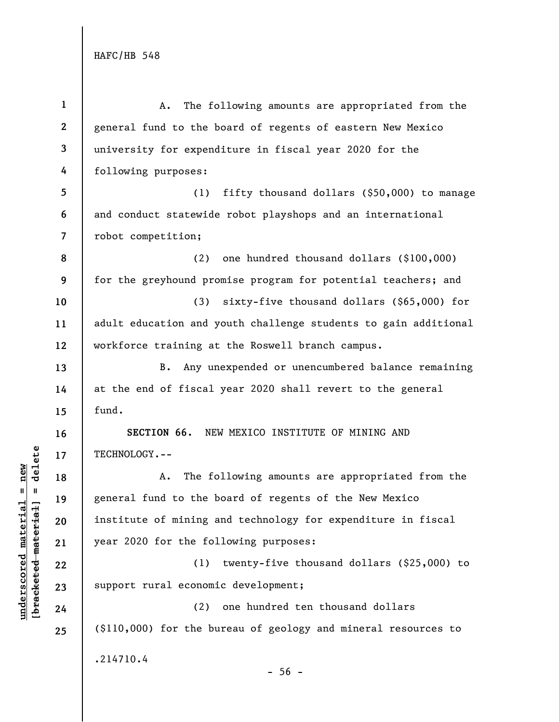| $\mathbf{1}$             | The following amounts are appropriated from the<br>Α.           |
|--------------------------|-----------------------------------------------------------------|
| $\mathbf{2}$             | general fund to the board of regents of eastern New Mexico      |
| $\mathbf{3}$             | university for expenditure in fiscal year 2020 for the          |
| 4                        | following purposes:                                             |
| 5                        | (1)<br>fifty thousand dollars (\$50,000) to manage              |
| 6                        | and conduct statewide robot playshops and an international      |
| $\overline{\phantom{a}}$ | robot competition;                                              |
| 8                        | one hundred thousand dollars (\$100,000)<br>(2)                 |
| 9                        | for the greyhound promise program for potential teachers; and   |
| 10                       | (3)<br>sixty-five thousand dollars $(\$65,000)$ for             |
| 11                       | adult education and youth challenge students to gain additional |
| 12                       | workforce training at the Roswell branch campus.                |
| 13                       | Any unexpended or unencumbered balance remaining<br>$B$ .       |
| 14                       | at the end of fiscal year 2020 shall revert to the general      |
| 15                       | fund.                                                           |
| 16                       | SECTION 66. NEW MEXICO INSTITUTE OF MINING AND                  |
| 17                       | TECHNOLOGY.--                                                   |
| 18                       | The following amounts are appropriated from the<br>Α.           |
| 19                       | general fund to the board of regents of the New Mexico          |
| 20                       | institute of mining and technology for expenditure in fiscal    |
| 21                       | year 2020 for the following purposes:                           |
| 22                       | twenty-five thousand dollars (\$25,000) to<br>(1)               |
| 23                       | support rural economic development;                             |
| 24                       | one hundred ten thousand dollars<br>(2)                         |
| 25                       | (\$110,000) for the bureau of geology and mineral resources to  |
|                          | .214710.4<br>$-56 -$                                            |

# $\frac{\text{underscored material} = \text{new}}{(\text{bracketed material}) = \text{dev}}$ **[bracketed material] = delete underscored material = new**